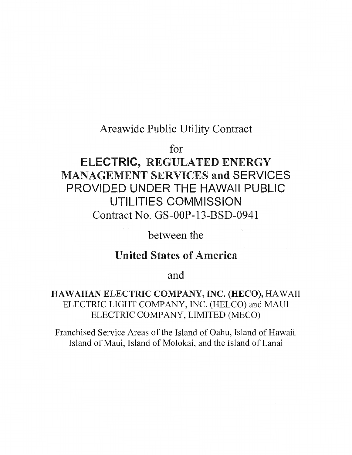### Areawide Public Utility Contract

for

# ELECTRIC, REGULATED ENERGY MANAGEMENT SERVICES and SERVICES PROVIDED UNDER THE HAWAII PUBLIC UTILITIES COMMISSION Contract No. GS-OOP-13-BSD-0941

between the

## United States of America

and

### HAWAIIAN ELECTRIC COMPANY, INC. (HECO), HAWAII ELECTRIC LIGHT COMPANY, INC. (HELCO) and MAUl ELECTRIC COMPANY, LIMITED (MECO)

Franchised Service Areas of the Island of Oahu, Island of Hawaii, Island of Maui, Island of Molokai, and the Island of Lanai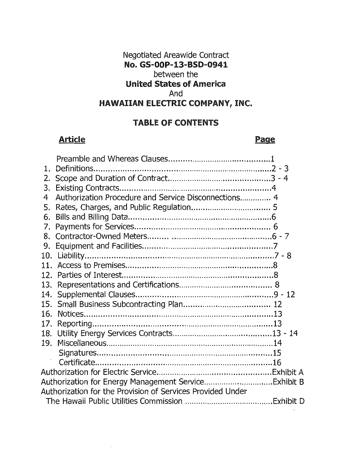### Negotiated Areawide Contract No. GS-OOP-13-BSD-0941 between the United States of America And HAWAIIAN ElECTRIC COMPANY, INC.

### TABlE OF CONTENTS

### Article **Page**

| 1.              |                                                            |  |
|-----------------|------------------------------------------------------------|--|
| 2.              |                                                            |  |
| 3.              |                                                            |  |
| 4               | Authorization Procedure and Service Disconnections 4       |  |
| 5.              |                                                            |  |
| 6.              |                                                            |  |
| 7.              |                                                            |  |
| 8.              |                                                            |  |
| 9.              |                                                            |  |
|                 |                                                            |  |
| 11 <sub>1</sub> |                                                            |  |
| 12.             |                                                            |  |
| 13.             |                                                            |  |
| 14.             |                                                            |  |
|                 |                                                            |  |
| 16.             |                                                            |  |
| 17.             |                                                            |  |
| 18.             |                                                            |  |
|                 |                                                            |  |
|                 |                                                            |  |
|                 |                                                            |  |
|                 |                                                            |  |
|                 |                                                            |  |
|                 | Authorization for the Provision of Services Provided Under |  |
|                 |                                                            |  |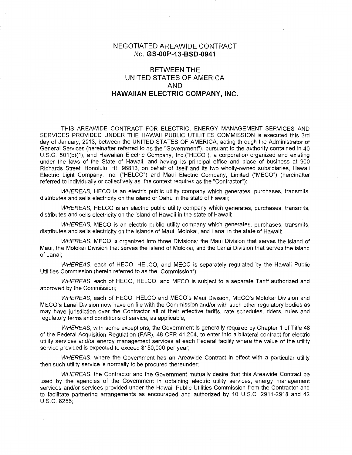#### NEGOTIATED AREAWIDE CONTRACT No. GS-OOP-13-BSD-0941

### BETWEEN THE UNITED STATES OF AMERICA AND HAWAIIAN ELECTRIC COMPANY, INC.

THIS AREAWIDE CONTRACT FOR ELECTRIC, ENERGY MANAGEMENT SERVICES AND SERVICES PROVIDED UNDER THE HAWAII PUBLIC UTILITIES COMMISSION is executed this 3rd day of January, 2013, between the UNITED STATES OF AMERICA, acting through the Administrator of General Services (hereinafter referred to as the "Government"), pursuant to the authority contained in 40 U.S.C. 501(b)(1), and Hawaiian Electric Company, lnc.("HECO"), a corporation organized and existing under the laws of the State of Hawaii, and having its principal office and place of business at 900 Richards Street, Honolulu, HI 96813, on behalf of itself and its two wholly-owned subsidiaries, Hawaii Electric Light Company, Inc. ("HELCO") and Maui Electric Company, Limited ("MECO") (hereinafter referred to individually or collectively as the context requires as the "Contractor"):

WHEREAS, HECO is an electric public utility company which generates, purchases, transmits, distributes and sells electricity on the island of Oahu in the state of Hawaii;

WHEREAS, HELCO is an electric public utility company which generates, purchases, transmits, distributes and sells electricity on the island of Hawaii in the state of Hawaii;

WHEREAS, MECO is an electric public utility company which generates, purchases, transmits, distributes and sells electricity on the islands of Maui, Molokai, and Lanai in the state of Hawaii;

WHEREAS, MECO is organized into three Divisions: the Maui Division that serves the island of Maui, the Molokai Division that serves the island of Molokai, and the Lanai Division that serves the island of Lanai;

WHEREAS, each of HECO, HELCO, and MECO is separately regulated by the Hawaii Public Utilities Commission (herein referred to as the "Commission");

WHEREAS, each of HECO, HELCO, and MECO is subject to a separate Tariff authorized and approved by the Commission;

WHEREAS, each of HECO, HELCO and MECO's Maui Division, MECO's Molokai Division and MECO's Lanai Division now have on file with the Commission and/or with such other regulatory bodies as may have jurisdiction over the Contractor all of their effective tariffs, rate schedules, riders, rules and regulatory terms and conditions of service, as applicable;

WHEREAS, with some exceptions, the Government is generally required by Chapter 1 of Title 48 of the Federal Acquisition Regulation (FAR), 48 CFR 41.204, to enter into a bilateral contract for electric utility services and/or energy management services at each Federal facility where the value of the utility service provided is expected to exceed \$150,000 per year;

WHEREAS, where the Government has an Areawide Contract in effect with a particular utility then such utility service is normally to be procured thereunder;

WHEREAS, the Contractor and the Government mutually desire that this Areawide Contract be used by the agencies of the Government in obtaining electric utility services, energy management services and/or services provided under the Hawaii Public Utilities Commission from the Contractor and to facilitate partnering arrangements as encouraged and authorized by 10 U.S.C. 2911-2918 and 42 U.S.C. 8256;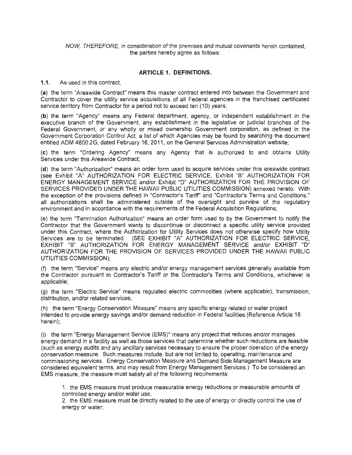NOW, THEREFORE, in consideration of the premises and mutual covenants herein contained, the parties hereby agree as follows:

#### **ARTICLE 1. DEFINITIONS.**

1.1. As used in this contract,

**(a)** the term "Areawide Contract" means this master contract entered into between the Government and Contractor to cover the utility service acquisitions of all Federal agencies in the franchised certificated service territory from Contractor for a period not to exceed ten (10) years;

**(b)** the term "Agency" means any Federal department, agency, or independent establishment in the executive branch of the Government, any establishment in the legislative or judicial branches of the Federal Government, or any wholly or mixed ownership Government corporation, as defined in the Government Corporation Control Act, a list of which Agencies may be found by searching the document entitled ADM 4800.2G, dated February 16, 2011, on the General Services Administration website;

**(c)** the term "Ordering Agency" means any Agency that is authorized to and obtains Utility Services under this Areawide Contract;

**(d)** the term "Authorization" means an order form used to acquire services under this areawide contract (see Exhibit "A" AUTHORIZATION FOR ELECTRIC SERVICE, Exhibit "B" AUTHORIZATION FOR ENERGY MANAGEMENT SERVICE and/or Exhibit "D" AUTHORIZATION FOR THE PROVISION OF SERVICES PROVIDED UNDER THE HAWAII PUBLIC UTILITIES COMMISSION) annexed hereto. With the exception of the provisions defined in "Contractor's Tariff' and "Contractor's Terms and Conditions," all authorizations shall be administered outside of the oversight and purview of the regulatory environment and in accordance with the requirements of the Federal Acquisition Regulations;

(e) the term "Termination Authorization" means an order form used to by the Government to notify the Contractor that the Government wants to discontinue or disconnect a specific utility service provided under this Contract, where the Authorization for Utility Services does not otherwise specify how Utility Services are to be terminated. (SEE EXHIBIT "A" AUTHORIZATION FOR ELECTRIC SERVICE, EXHIBIT "B" AUTHORIZATION FOR ENERGY MANAGEMENT SERVICE and/or EXHIBIT "D" AUTHORIZATION FOR THE PROVISION OF SERVICES PROVIDED UNDER THE HAWAII PUBLIC UTILITIES COMMISSION);

(f) the term. "Service" means any electric and/or energy management services generally available from the Contractor pursuant to Contractor's Tariff or the Contractor's Terms and Conditions, whichever is applicable;

(g) the term "Electric Service" means regulated electric commodities (where applicable), transmission, distribution, and/or related services;

(h) the term "Energy Conservation Measure" means any specific energy related or water project intended to provide energy savings and/or demand reduction in Federal facilities (Reference Article 18 herein);

(i) the term "Energy Management Service (EMS)" means any project that reduces and/or manages energy demand in a facility as well as those services that determine whether such reductions are feasible (such as energy audits and any ancillary services necessary to ensure the proper operation of the energy conservation measure. Such measures include, but are not limited to, operating, maintenance and commissioning services. Energy Conservation Measure and Demand Side Management Measure are considered equivalent terms, and may result from Energy Management Services.) To be considered an EMS measure, the measure must satisfy all of the following requirements:

1. the EMS measure must produce measurable energy reductions or measurable amounts of controlled energy and/or water use;

2. the EMS measure must be directly related to the use of energy or directly control the use of energy or water;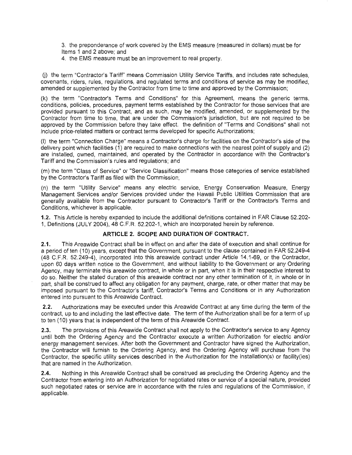3. the preponderance of work covered by the EMS measure (measured in dollars) must be for Items 1 and 2 above; and

4. the EMS measure must be an improvement to real property.

U) the term "Contractor's Tariff" means Commission Utility Service Tariffs, and includes rate schedules, covenants, riders, rules, regulations, and regulated terms and conditions of service as may be modified, amended or supplemented by the Contractor from time to time and approved by the Commission;

(k) the term "Contractor's Terms and Conditions" for this Agreement, means the generic terms, conditions, policies, procedures, payment terms established by the Contractor for those services that are provided pursuant to this Contract, and as such, may be modified, amended, or supplemented by the Contractor from time to time, that are under the Commission's jurisdiction, but are not required to be approved by the Commission before they take effect. the definition of "Terms and Conditions" shall not include price-related matters or contract terms developed for specific Authorizations;

(I) the term "Connection Charge" means a Contractor's charge for facilities on the Contractor's side of the delivery point which facilities (1) are required to make connections with the nearest point of supply and (2) are installed, owned, maintained, and operated by the Contractor in accordance with the Contractor's Tariff and the Commission's rules and regulations; and

(m) the term "Class of Service" or "Service Classification" means those categories of service established by the Contractor's Tariff as filed with the Commission;

(n) the term "Utility Service" means any electric service, Energy Conservation Measure, Energy Management Services and/or Services provided under the Hawaii Public Utilities Commission that are generally available from the Contractor pursuant to Contractor's Tariff or the Contractor's Terms and Conditions, whichever is applicable.

1.2. This Article is hereby expanded to include the additional definitions contained in FAR Clause 52.202 1, Definitions (JULY 2004), 48 C.F.R. 52.202-1, which are incorporated herein by reference.

#### **ARTICLE 2. SCOPE AND DURATION OF CONTRACT.**

2.1. This Areawide Contract shall be in effect on and after the date of execution and shall continue for a period of ten (10) years, except that the Government, pursuant to the clause contained in FAR 52.249-4 (48 C.F.R. 52.249-4), incorporated into this areawide contract under Article 14.1-69, or the Contractor, upon 60 days written notice to the Government, and without liability to the Government or any Ordering Agency, may terminate this areawide contract, in whole or in part, when it is in their respective interest to do so. Neither the stated duration of this areawide contract nor any other termination of it, in whole or in part, shall be construed to affect any obligation for any payment, charge, rate, or other matter that may be imposed pursuant to the Contractor's tariff, Contractor's Terms and Conditions or in any Authorization entered into pursuant to this Areawide Contract.

2.2. Authorizations may be executed under this Areawide Contract at any time during the term of the contract, up to and including the last effective date. The term of the Authorization shall be for a term of up to ten (10) years that is independent of the term of this Areawide Contract.

2.3. The provisions of this Areawide Contract shall not apply to the Contractor's service to any Agency until both the Ordering Agency and the Contractor execute a written Authorization for electric and/or energy management services. After both the Government and Contractor have signed the Authorization, the Contractor will furnish to the Ordering Agency, and the Ordering Agency will purchase from the Contractor, the specific utility services described in the Authorization for the installation(s) or facility(ies) that are named in the Authorization.

2.4. Nothing in this Areawide Contract shall be construed as precluding the Ordering Agency and the Contractor from entering into an Authorization for negotiated rates or service of a special nature, provided such negotiated rates or service are in accordance with the rules and regulations of the Commission, if applicable.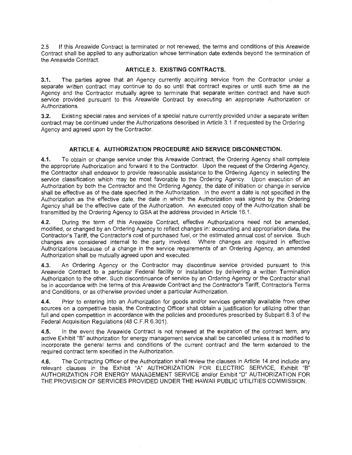2.5 If this Areawide Contract is terminated or not renewed, the terms and conditions of this Areawide Contract shall be applied to any authorization whose termination date extends beyond the termination of the Areawide Contract.

#### ARTICLE 3. EXISTING CONTRACTS.

3.1. The parties agree that an Agency currently acquiring service from the Contractor under a separate written contract may continue to do so until that contract expires or until such time as the Agency and the Contractor mutually agree to terminate that separate written contract and have such service provided pursuant to this Areawide Contract by executing an appropriate Authorization or Authorizations.

3.2. Existing special rates and services of a special nature currently provided under a separate written contract may be continued under the Authorizations described in Article 3.1 if requested by the Ordering Agency and agreed upon by the Contractor.

#### ARTICLE 4. AUTHORIZATION PROCEDURE AND SERVICE DISCONNECTION.

4.1. To obtain or change service under this Areawide Contract, the Ordering Agency shall complete the appropriate Authorization and forward it to the Contractor. Upon the request of the Ordering Agency, the Contractor shall endeavor to provide reasonable assistance to the Ordering Agency in selecting the service classification which may be most favorable to the Ordering Agency. Upon execution of an Authorization by both the Contractor and the Ordering Agency, the date of initiation or change in service shall be effective as of the date specified in the Authorization. In the event a date is not specified in the Authorization as the effective date, the date in which the Authorization was signed by the Ordering Agency shall be the effective date of the Authorization. An executed copy of the Authorization shall be transmitted by the Ordering Agency to GSA at the address provided in Article 16.1.

4.2. During the term of this Areawide Contract, effective Authorizations need not be amended, modified, or changed by an Ordering Agency to reflect changes in: accounting and appropriation data, the Contractor's Tariff, the Contractor's cost of purchased fuel, or the estimated annual cost of service. Such changes are considered internal to the party involved. Where changes are required in effective Authorizations because of a change in the service requirements of an Ordering Agency, an amended Authorization shall be mutually agreed upon and executed.

4.3. An Ordering Agency or the Contractor may discontinue service provided pursuant to this Areawide Contract to a particular Federal facility or installation by delivering a written Termination Authorization to the other. Such discontinuance of service by an Ordering Agency or the Contractor shall be in accordance with the terms of this Areawide Contract and the Contractor's Tariff, Contractor's Terms and Conditions, or as otherwise provided under a particular Authorization.

4.4. Prior to entering into an Authorization for goods and/or services generally available from other sources on a competitive basis, the Contracting Officer shall obtain a justification for utilizing other than full and open competition in accordance with the policies and procedures prescribed by Subpart 6.3 of the Federal Acquisition Regulations (48 C.F.R 6.301).

4.5. In the event the Areawide Contract is not renewed at the expiration of the contract term, any active Exhibit "B" authorization for energy management service shall be cancelled unless it is modified to incorporate the general terms and conditions of the current contract and the term extended to the required contract term specified in the Authorization.

4.6. The Contracting Officer of the Authorization shall review the clauses in Article 14 and include any relevant clauses in the Exhibit "A" AUTHORIZATION FOR ELECTRIC SERVICE, Exhibit "B" AUTHORIZATION FOR ENERGY MANAGEMENT SERVICE and/or Exhibit "D" AUTHORIZATION FOR THE PROVISION OF SERVICES PROVIDED UNDER THE HAWAII PUBLIC UTILITIES COMMISSION.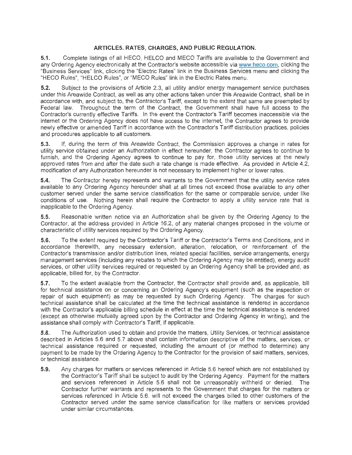#### **ARTICLES. RATES, CHARGES, AND PUBLIC REGULATION.**

**5.1.** Complete listings of all HECO, HELCO and MECO Tariffs are available to the Government and any Ordering Agency electronically at the Contractor's website accessible via www.heco.com , clicking the "Business Services" link, clicking the "Electric Rates" link in the Business Services menu and clicking the "HECO Rules", "HELCO Rules", or "MECO Rules" link in the Electric Rates menu.

**5.2.** Subject to the provisions of Article 2.3, all utility and/or energy management service purchases under this Areawide Contract, as well as any other actions taken under this Areawide Contract, shall be in accordance with, and subject to, the Contractor's Tariff, except to the extent that same are preempted by Federal law. Throughout the term of the Contract, the Government shall have full access to the Contractor's currently effective Tariffs. In the event the Contractor's Tariff becomes inaccessible via the internet or the Ordering Agency does not have access to the internet, the Contractor agrees to provide newly effective or amended Tariff in accordance with the Contractor's Tariff distribution practices, policies and procedures applicable to all customers.

5.3. If, during the term of this Areawide Contract, the Commission approves a change in rates for utility service obtained under an Authorization in effect hereunder, the Contractor agrees to continue to furnish, and the Ordering Agency agrees to continue to pay for, those utility services at the newly approved rates from and after the date such a rate change is made effective. As provided in Article 4.2, modification of any Authorization hereunder is not necessary to implement higher or lower rates.

**5.4.** The Contractor hereby represents and warrants to the Government that the utility service rates available to any Ordering Agency hereunder shall at all times not exceed those available to any other customer served under the same service classification for the same or comparable service, under like conditions of use. Nothing herein shall require the Contractor to apply a utility service rate that is inapplicable to the Ordering Agency.

**5.5.** Reasonable written notice via an Authorization shall be given by the Ordering Agency to the Contractor, at the address provided in Article 16.2, of any material changes proposed in the volume or characteristic of utility services required by the Ordering Agency.

5.6. To the extent required by the Contractor's Tariff or the Contractor's Terms and Conditions, and in accordance therewith, any necessary extension, alteration, relocation, or reinforcement of the Contractor's transmission and/or distribution lines, related special facilities, service arrangements, energy management services (including any rebates to which the Ordering Agency may be entitled), energy audit services, or other utility services required or requested by an Ordering Agency shall be provided and, as applicable, billed for, by the Contractor.

**5.7.** To the extent available from the Contractor, the Contractor shall provide and, as applicable, bill for technical assistance on or concerning an Ordering Agency's equipment (such as the inspection or repair of such equipment) as may be requested by such Ordering Agency. The charges for such technical assistance shall be calculated at the time the technical assistance is rendered in accordance with the Contractor's applicable billing schedule in effect at the time the technical assistance is rendered (except as otherwise mutually agreed upon by the Contractor and Ordering Agency in writing), and the assistance shall comply with Contractor's Tariff, if applicable.

**5.8.** The Authorization used to obtain and provide the matters, Utility Services, or technical assistance described in Articles 5.6 and 5.7 above shall contain information descriptive of the matters, services, or technical assistance required or requested, including the amount of (or method to determine) any payment to be made by the Ordering Agency to the Contractor for the provision of said matters, services, or technical assistance.

**5.9.** Any charges for matters or services referenced in Article 5.6 hereof which are not established by the Contractor's Tariff shall be subject to audit by the Ordering Agency. Payment for the matters and services referenced in Article 5.6 shall not be unreasonably withheld or denied. The Contractor further warrants and represents to the Government that charges for the matters or services referenced in Article 5.6. will not exceed the charges billed to other customers of the Contractor served under the same service classification for like matters or services provided under similar circumstances.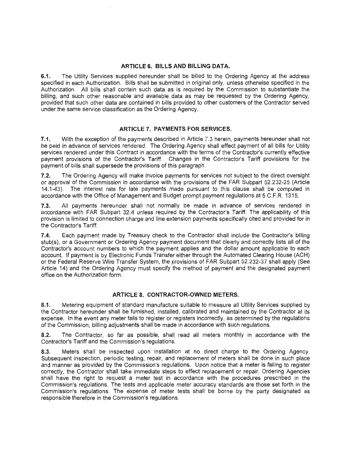#### **ARTICLE 6. BILLS AND BILLING DATA.**

**6.1.** The Utility Services supplied hereunder shall be billed to the Ordering Agency at the address specified in each Authorization. Bills shall be submitted in original only, unless otherwise specified in the Authorization. All bills shall contain such data as is required by the Commission to substantiate the billing, and such other reasonable and available data as may be requested by the Ordering Agency, provided that such other data are contained in bills provided to other customers of the Contractor served under the same service classification as the Ordering Agency.

#### **ARTICLE 7. PAYMENTS FOR SERVICES.**

7.1. With the exception of the payments described in Article 7.3 herein, payments hereunder shall not be paid in advance of services rendered. The Ordering Agency shall effect payment of all bills for Utility services rendered under this Contract in accordance with the terms of the Contractor's currently effective payment provisions of the Contractor's Tariff. Changes in the Contractor's Tariff provisions for the payment of bills shall supersede the provisions of this paragraph.

**7.2.** The Ordering Agency will make invoice payments for services not subject to the direct oversight or approval of the Commission in accordance with the provisions of the FAR Subpart 52.232-25 (Article 14.1-43). The interest rate for late payments made pursuant to this clause shall be computed in accordance with the Office of Management and Budget prompt payment regulations at 5 C.F.R. 1315.

**7.3.** All payments hereunder shall not normally be made in advance of services rendered in accordance with FAR Subpart 32.4 unless required by the Contractor's Tariff. The applicability of this provision is limited to connection charge and line extension payments specifically cited and provided for in the Contractor's Tariff.

7.4. Each payment made by Treasury check to the Contractor shall include the Contractor's billing stub(s), or a Government or Ordering Agency payment document that clearly and correctly lists all of the Contractor's account numbers to which the payment applies and the dollar amount applicable to each account. If payment is by Electronic Funds Transfer either through the Automated Clearing House (ACH) or the Federal Reserve Wire Transfer System, the provisions of FAR Subpart 52.232-37 shall apply (See Article 14) and the Ordering Agency must specify the method of payment and the designated payment office on the Authorization form.

#### **ARTICLE 8. CONTRACTOR-OWNED METERS.**

**8.1.** Metering equipment of standard manufacture suitable to measure all Utility Services supplied by the Contractor hereunder shall be furnished, installed, calibrated and maintained by the Contractor at its expense. In the event any meter fails to register or registers incorrectly, as determined by the regulations of the Commission, billing adjustments shall be made in accordance with such regulations.

**8.2.** The Contractor, so far as possible, shall read all meters monthly in accordance with the Contractor's Tariff and the Commission's regulations.

**8.3.** Meters shall be inspected upon installation at no direct charge to the Ordering Agency. Subsequent inspection, periodic testing, repair, and replacement of meters shall be done in such place and manner as provided by the Commission's regulations. Upon notice that a meter is failing to register correctly, the Contractor shall take immediate steps to effect replacement or repair. Ordering Agencies shall have the right to request a meter test in accordance with the procedures prescribed in the Commission's regulations. The tests and applicable meter accuracy standards are those set forth in the Commission's regulations. The expense of meter tests shall be borne by the party designated as responsible therefore in the Commission's regulations.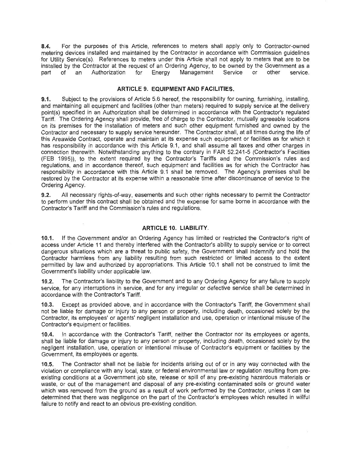8.4. For the purposes of this Article, references to meters shall apply only to Contractor-owned metering devices installed and maintained by the Contractor in accordance with Commission guidelines for Utility Service(s). References to meters under this Article shall not apply to meters that are to be installed by the Contractor at the request of an Ordering Agency, to be owned by the Government as a part of an Authorization for Energy Management Service or other service.

#### **ARTICLE 9. EQUIPMENT AND FACILITIES.**

**9.1.** Subject to the provisions of Article 5.6 hereof, the responsibility for owning, furnishing, installing, and maintaining all equipment and facilities (other than meters) required to supply service at the delivery point(s) specified in an Authorization shall be determined in accordance with the Contractor's regulated Tariff. The Ordering Agency shall provide, free of charge to the Contractor, mutually agreeable locations on its premises for the installation of meters and such other equipment furnished and owned by the Contractor and necessary to supply service hereunder. The Contractor shall, at all times during the life of this Areawide Contract, operate and maintain at its expense such equipment or facilities as for which it has responsibility in accordance with this Article 9.1, and shall assume all taxes and other charges in connection therewith. Notwithstanding anything to the contrary in FAR 52.241-5 (Contractor's Facilities (FEB 1995)), to the extent required by the Contractor's Tariffs and the Commission's rules and regulations, and in accordance thereof, such equipment and facilities as for which the Contractor has responsibility in accordance with this Article 9.1 shall be removed. The Agency's premises shall be restored by the Contractor at its expense within a reasonable time after discontinuance of service to the Ordering Agency.

**9.2.** All necessary rights-of-way, easements and such other rights necessary to permit the Contractor to perform under this contract shall be obtained and the expense for same borne in accordance with the Contractor's Tariff and the Commission's rules and regulations.

#### **ARTICLE 10. LIABILITY.**

**10.1.** If the Government and/or an Ordering Agency has limited or restricted the Contractor's right of access under Article 11 and thereby interfered with the Contractor's ability to supply service or to correct dangerous situations which are a threat to public safety, the Government shall indemnify and hold the Contractor harmless from any liability resulting from such restricted or limited access to the extent permitted by law and authorized by appropriations. This Article 10.1 shall not be construed to limit the Government's liability under applicable law.

**10.2.** The Contractor's liability to the Government and to any Ordering Agency for any failure to supply service, for any interruptions in service, and for any irregular or defective service shall be determined in accordance with the Contractor's Tariff.

**10.3.** Except as provided above, and in accordance with the Contractor's Tariff, the Government shall not be liable for damage or injury to any person or property, including death, occasioned solely by the Contractor, its employees' or agents' negligent installation and use, operation or intentional misuse of the Contractor's equipment or facilities.

**10.4.** In accordance with the Contractor's Tariff, neither the Contractor nor its employees or agents, shall be liable for damage or injury to any person or property, including death, occasioned solely by the negligent installation, use, operation or intentional misuse of Contractor's equipment or facilities by the Government, its employees or agents.

**10.5.** The Contractor shall not be liable for incidents arising out of or in any way connected with the violation or compliance with any local, state, or federal environmental law or regulation resulting from preexisting conditions at a Government job site, release or spill of any pre-existing hazardous materials or waste, or out of the management and disposal of any pre-existing contaminated soils or ground water which was removed from the ground as a result of work performed by the Contractor, unless it can be determined that there was negligence on the part of the Contractor's employees which resulted in willful failure to notify and react to an obvious pre-existing condition.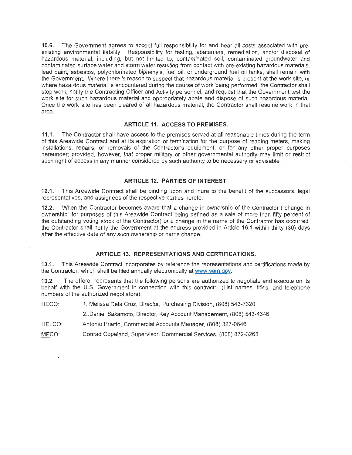**10.6.** The Government agrees to accept full responsibility for and bear all costs associated with preexisting environmental liability. Responsibility for testing, abatement, remediation, and/or disposal of hazardous material, including, but not limited to, contaminated soil, contaminated groundwater and contaminated surface water and storm water resulting from contact with pre-existing hazardous materials, lead paint, asbestos, polychlorinated biphenyls, fuel oil, or underground fuel oil tanks, shall remain with the Government. Where there is reason to suspect that hazardous material is present at the work site, or where hazardous material is encountered during the course of work being performed, the Contractor shall stop work; notify the Contracting Officer and Activity personnel, and request that the Government test the work site for such hazardous material and appropriately abate and dispose of such hazardous material. Once the work site has been cleared of all hazardous material, the Contractor shall resume work in that area.

#### **ARTICLE 11. ACCESS TO PREMISES.**

**11.1.** The Contractor shall have access to the premises served at all reasonable times during the term of this Areawide Contract and at its expiration or termination for the purpose of reading meters, making installations, repairs, or removals of the Contractor's equipment, or for any other proper purposes hereunder; provided, however, that proper military or other governmental authority may limit or restrict such right of access in any manner considered by such authority to be necessary or advisable.

#### **ARTICLE 12. PARTIES OF INTEREST.**

**12.1.** This Areawide Contract shall be binding upon and inure to the benefit of the successors, legal representatives, and assignees of the respective parties hereto.

**12.2.** When the Contractor becomes aware that a change in ownership of the Contractor ("change in ownership" for purposes of this Areawide Contract being defined as a sale of more than fifty percent of the outstanding voting stock of the Contractor) or a change in the name of the Contractor has occurred, the Contractor shall notify the Government at the address provided in Article 16.1 within thirty (30) days after the effective date of any such ownership or name change.

#### **ARTICLE 13. REPRESENTATIONS AND CERTIFICATIONS.**

**13.1.** This Areawide Contract incorporates by reference the representations and certifications made by the Contractor, which shall be filed annually electronically at www.sam.gov.

**13.2.** The offeror represents that the following persons are authorized to negotiate and execute on its behalf with the U.S. Government in connection with this contract: (List names, titles, and telephone numbers of the authorized negotiators):

HECO: 1. Melissa Dela Cruz, Director, Purchasing Division, (808) 543-7320

2. Daniel Sakamoto, Director, Key Account Management, (808) 543-4646

HELCO: Antonio Prietto, Commercial Accounts Manager, (808) 327-0646

MECO: Conrad Copeland, Supervisor, Commercial Services, (808) 872-3268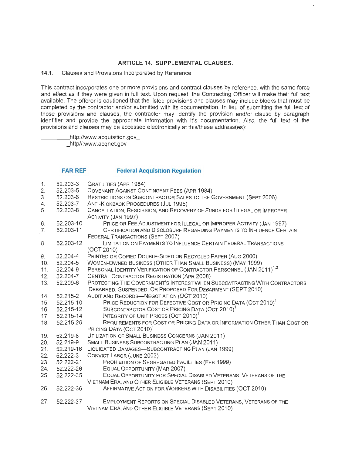#### **ARTICLE** 14. **SUPPLEMENTAL CLAUSES.**

**14.1.** Clauses and Provisions Incorporated by Reference.

This contract incorporates one or more provisions and contract clauses by reference, with the same force and effect as if they were given in full text. Upon request, the Contracting Officer will make their full text available. The offeror is cautioned that the listed provisions and clauses may include blocks that must be completed by the contractor and/or submitted with its documentation. In lieu of submitting the full text of those provisions and clauses, the contractor may identify the provision and/or clause by paragraph identifier and provide the appropriate information with it's documentation. Also, the full text of the provisions and clauses may be accessed electronically at this/these address(es):

http://www.acquisition.gov \_ http//:www.acqnet.gov

#### **FAR REF Federal Acquisition Regulation**

| 1.             | 52.203-3  | <b>GRATUITIES (APR 1984)</b>                                                     |
|----------------|-----------|----------------------------------------------------------------------------------|
| 2.             | 52.203-5  | COVENANT AGAINST CONTINGENT FEES (APR 1984)                                      |
| 3.             | 52.203-6  | RESTRICTIONS ON SUBCONTRACTOR SALES TO THE GOVERNMENT (SEPT 2006)                |
| 4.             | 52.203-7  | ANTI-KICKBACK PROCEDURES (JUL 1995)                                              |
| 5.             | 52.203-8  | CANCELLATION, RESCISSION, AND RECOVERY OF FUNDS FOR ILLEGAL OR IMPROPER          |
|                |           | ACTIVITY (JAN 1997)                                                              |
| 6.             | 52.203-10 | PRICE OR FEE ADJUSTMENT FOR ILLEGAL OR IMPROPER ACTIVITY (JAN 1997)              |
| 7 <sub>1</sub> | 52.203-11 | CERTIFICATION AND DISCLOSURE REGARDING PAYMENTS TO INFLUENCE CERTAIN             |
|                |           | FEDERAL TRANSACTIONS (SEPT 2007)                                                 |
| 8              | 52.203-12 | LIMITATION ON PAYMENTS TO INFLUENCE CERTAIN FEDERAL TRANSACTIONS                 |
|                |           | (OCT 2010)                                                                       |
| 9.             | 52.204-4  | PRINTED OR COPIED DOUBLE-SIDED ON RECYCLED PAPER (AUG 2000)                      |
| 10.            | 52.204-5  | WOMEN-OWNED BUSINESS (OTHER THAN SMALL BUSINESS) (MAY 1999)                      |
| 11.            | 52.204-9  | PERSONAL IDENTITY VERIFICATION OF CONTRACTOR PERSONNEL (JAN 2011) <sup>1,2</sup> |
| 12.            | 52.204-7  | CENTRAL CONTRACTOR REGISTRATION (APR 2008)                                       |
| 13.            | 52.209-6  | PROTECTING THE GOVERNMENT'S INTEREST WHEN SUBCONTRACTING WITH CONTRACTORS        |
|                |           | DEBARRED, SUSPENDED, OR PROPOSED FOR DEBARMENT (SEPT 2010)                       |
| 14.            | 52.215-2  | AUDIT AND RECORDS-NEGOTIATION (OCT 2010) <sup>1</sup>                            |
| 15.            | 52.215-10 | PRICE REDUCTION FOR DEFECTIVE COST OR PRICING DATA (OCT 2010) <sup>1</sup>       |
| 16.            | 52.215-12 | SUBCONTRACTOR COST OR PRICING DATA (OCT 2010) <sup>1</sup>                       |
| 17             | 52.215-14 | INTEGRITY OF UNIT PRICES (OCT 2010) <sup>1</sup>                                 |
| 18.            | 52.215-20 | REQUIREMENTS FOR COST OR PRICING DATA OR INFORMATION OTHER THAN COST OR          |
|                |           | PRICING DATA (OCT 2010) <sup>1</sup>                                             |
| 19.            | 52.219-8  | UTILIZATION OF SMALL BUSINESS CONCERNS (JAN 2011)                                |
| 20.            | 52.219-9  | SMALL BUSINESS SUBCONTRACTING PLAN (JAN 2011)                                    |
| 21.            | 52.219-16 | LIQUIDATED DAMAGES-SUBCONTRACTING PLAN (JAN 1999)                                |
| 22.            | 52.222-3  | CONVICT LABOR (JUNE 2003)                                                        |
| 23.            | 52.222-21 | PROHIBITION OF SEGREGATED FACILITIES (FEB 1999)                                  |
| 24.            | 52.222-26 | EQUAL OPPORTUNITY (MAR 2007)                                                     |
| 25.            | 52.222-35 | EQUAL OPPORTUNITY FOR SPECIAL DISABLED VETERANS, VETERANS OF THE                 |
|                |           | VIETNAM ERA, AND OTHER ELIGIBLE VETERANS (SEPT 2010)                             |
| 26.            | 52.222-36 | AFFIRMATIVE ACTION FOR WORKERS WITH DISABILITIES (OCT 2010)                      |
| 27.            | 52.222-37 | EMPLOYMENT REPORTS ON SPECIAL DISABLED VETERANS, VETERANS OF THE                 |
|                |           | VIETNAM ERA, AND OTHER ELIGIBLE VETERANS (SEPT 2010)                             |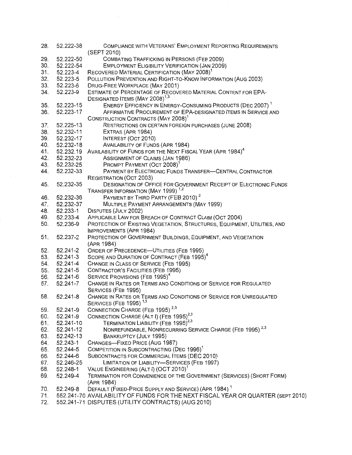| 28. | 52.222-38 | COMPLIANCE WITH VETERANS' EMPLOYMENT REPORTING REQUIREMENTS                                                 |
|-----|-----------|-------------------------------------------------------------------------------------------------------------|
|     |           | (SEPT 2010)                                                                                                 |
| 29. | 52.222-50 | COMBATING TRAFFICKING IN PERSONS (FEB 2009)                                                                 |
| 30. | 52.222-54 | <b>EMPLOYMENT ELIGIBILITY VERIFICATION (JAN 2009)</b>                                                       |
| 31. | 52.223-4  | RECOVERED MATERIAL CERTIFICATION (MAY 2008) <sup>1</sup>                                                    |
| 32. | 52.223-5  | POLLUTION PREVENTION AND RIGHT-TO-KNOW INFORMATION (AUG 2003)                                               |
| 33. | 52.223-6  | DRUG-FREE WORKPLACE (MAY 2001)                                                                              |
| 34. | 52.223-9  | ESTIMATE OF PERCENTAGE OF RECOVERED MATERIAL CONTENT FOR EPA-<br>DESIGNATED ITEMS (MAY 2008) <sup>1,3</sup> |
| 35. | 52.223-15 | ENERGY EFFICIENCY IN ENERGY-CONSUMING PRODUCTS (DEC 2007) <sup>1</sup>                                      |
| 36. | 52.223-17 | AFFIRMATIVE PROCUREMENT OF EPA-DESIGNATED ITEMS IN SERVICE AND                                              |
|     |           | CONSTRUCTION CONTRACTS (MAY 2008) <sup>1</sup>                                                              |
| 37. | 52.225-13 | RESTRICTIONS ON CERTAIN FOREIGN PURCHASES (JUNE 2008)                                                       |
| 38. | 52.232-11 |                                                                                                             |
| 39. | 52.232-17 | EXTRAS (APR 1984)                                                                                           |
|     |           | INTEREST (OCT 2010)                                                                                         |
| 40. | 52.232-18 | <b>AVAILABILITY OF FUNDS (APR 1984)</b>                                                                     |
| 41. |           | 52.232.19 AVAILABILITY OF FUNDS FOR THE NEXT FISCAL YEAR (APR 1984) <sup>4</sup>                            |
| 42. | 52.232-23 | ASSIGNMENT OF CLAIMS (JAN 1986)                                                                             |
| 43. | 52.232-25 | PROMPT PAYMENT (OCT 2008) <sup>1</sup>                                                                      |
| 44. | 52.232-33 | PAYMENT BY ELECTRONIC FUNDS TRANSFER-CENTRAL CONTRACTOR                                                     |
|     |           | REGISTRATION (OCT 2003)                                                                                     |
| 45. | 52.232-35 | DESIGNATION OF OFFICE FOR GOVERNMENT RECEIPT OF ELECTRONIC FUNDS                                            |
|     |           | TRANSFER INFORMATION (MAY 1999) <sup>1,2</sup>                                                              |
| 46. | 52.232-36 | PAYMENT BY THIRD PARTY (FEB 2010) <sup>2</sup>                                                              |
| 47. | 52.232-37 | MULTIPLE PAYMENT ARRANGEMENTS (MAY 1999)                                                                    |
| 48. | 52.233-1  | DISPUTES (JULY 2002)                                                                                        |
| 49. | 52.233-4  | APPLICABLE LAW FOR BREACH OF CONTRACT CLAIM (OCT 2004)                                                      |
| 50. | 52.236-9  | PROTECTION OF EXISTING VEGETATION, STRUCTURES, EQUIPMENT, UTILITIES, AND                                    |
|     |           | IMPROVEMENTS (APR 1984)                                                                                     |
| 51. | 52.237-2  | PROTECTION OF GOVERNMENT BUILDINGS, EQUIPMENT, AND VEGETATION                                               |
|     |           | (APR 1984)                                                                                                  |
| 52. | 52.241-2  | ORDER OF PRECEDENCE-UTILITIES (FEB 1995)                                                                    |
| 53. | 52.241-3  | SCOPE AND DURATION OF CONTRACT (FEB 1995) <sup>4</sup>                                                      |
| 54. | 52.241-4  | CHANGE IN CLASS OF SERVICE (FEB 1995)                                                                       |
| 55. | 52.241-5  | <b>CONTRACTOR'S FACILITIES (FEB 1995)</b>                                                                   |
| 56. | 52.241-6  | SERVICE PROVISIONS (FEB 1995) <sup>4</sup>                                                                  |
| 57. | 52.241-7  | CHANGE IN RATES OR TERMS AND CONDITIONS OF SERVICE FOR REGULATED                                            |
|     |           | SERVICES (FEB 1995)                                                                                         |
| 58. | 52.241-8  | CHANGE IN RATES OR TERMS AND CONDITIONS OF SERVICE FOR UNREGULATED                                          |
|     |           | <b>SERVICES (FEB 1995)</b> <sup>1,3</sup>                                                                   |
| 59. | 52.241-9  | CONNECTION CHARGE (FEB 1995) <sup>2,3</sup>                                                                 |
| 60. | 52.241-9  | CONNECTION CHARGE (ALT I) (FEB 1995) <sup>2,3</sup>                                                         |
| 61. | 52.241-10 | TERMINATION LIABILITY (FEB 1995) <sup>2,3</sup>                                                             |
| 62. | 52.241-12 | NONREFUNDABLE, NONRECURRING SERVICE CHARGE (FEB 1995) <sup>2,3</sup>                                        |
| 63. | 52.242-13 | BANKRUPTCY (JULY 1995)                                                                                      |
| 64. | 52.243-1  | CHANGES-FIXED PRICE (AUG 1987)                                                                              |
| 65. | 52.244-5  | COMPETITION IN SUBCONTRACTING (DEC 1996) <sup>1</sup>                                                       |
| 66. | 52.244-6  | SUBCONTRACTS FOR COMMERCIAL ITEMS (DEC 2010)                                                                |
| 67. | 52.246-25 | LIMITATION OF LIABILITY-SERVICES (FEB 1997)                                                                 |
| 68. | 52.248-1  | VALUE ENGINEERING (ALT I) (OCT 2010) <sup>1</sup>                                                           |
| 69. | 52.249-4  | TERMINATION FOR CONVENIENCE OF THE GOVERNMENT (SERVICES) (SHORT FORM)                                       |
|     |           | (APR 1984)                                                                                                  |
| 70. | 52.249-8  | DEFAULT (FIXED-PRICE SUPPLY AND SERVICE) (APR 1984) <sup>1</sup>                                            |
| 71. |           | 552.241-70 AVAILABILITY OF FUNDS FOR THE NEXT FISCAL YEAR OR QUARTER (SEPT 2010)                            |
| 72. |           | 552.241-71 DISPUTES (UTILITY CONTRACTS) (AUG 2010)                                                          |

 $\sim$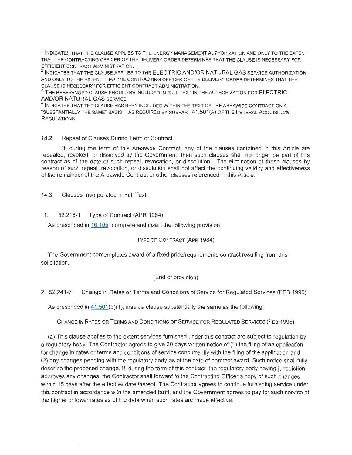$^{\rm 1}$  INDICATES THAT THE CLAUSE APPLIES TO THE ENERGY MANAGEMENT AUTHORIZATION AND ONLY TO THE EXTENT THAT THE CONTRACTING OFFICER OF THE DELIVERY ORDER DETERMINES THAT THE CLAUSE IS NECESSARY FOR EFFICIENT CONTRACT ADMINISTRATION.<br><sup>2</sup> INDICATES THAT THE CLAUSE APPLIES TO THE ELECTRIC AND/OR NATURAL GAS SERVICE AUTHORIZATION

AND ONLY TO THE EXTENT THAT THE CONTRACTING OFFICER OF THE DELIVERY ORDER DETERMINES THAT THE CLAUSE IS NECESSARY FOR EFFICIENT CONTRACT ADMINISTRATION.<br><sup>3</sup> THE REFERENCED CLAUSE SHOULD BE INCLUDED IN FULL TEXT IN THE AUTHORIZATION FOR ELECTRIC

AND/OR NATURAL GAS SERVICE.

 $^4$  INDICATES THAT THE CLAUSE HAS BEEN INCLUDED WITHIN THE TEXT OF THE AREAWIDE CONTRACT ON A "SUBSTANTIALLY THE SAME" BASIS AS REQUIRED BY SUBPART 41.501(A) OF THE FEDERAL ACQUISITION **REGULATIONS** 

#### **14.2.** Repeal of Clauses During Term of Contract.

If, during the term of this Areawide Contract, any of the clauses contained in this Article are repealed, revoked, or dissolved by the Government, then such clauses shall no longer be part of this contract as of the date of such repeal, revocation, or dissolution. The elimination of these clauses by reason of such repeal, revocation, or dissolution shall not affect the continuing validity and effectiveness of the remainder of the Areawide Contract or other clauses referenced in this Article.

14.3. Clauses Incorporated in Full Text.

#### 1. 52.216-1 Type of Contract (APR 1984)

As prescribed in 16.105, complete and insert the following provision:

#### TYPE OF CONTRACT (APR 1984)

The Government contemplates award of a fixed price/requirements contract resulting from this solicitation.

#### (End of provision)

2. 52.241-7 Change in Rates or Terms and Conditions of Service for Regulated Services (FEB 1995)

As prescribed in  $41.501(d)(1)$ , insert a clause substantially the same as the following:

CHANGE IN RATES OR TERMS AND CONDITIONS OF SERVICE FOR REGULATED SERVICES (FEB 1995)

(a) This clause applies to the extent services furnished under this contract are subject to regulation by a regulatory body. The Contractor agrees to give 30 days written notice of (1) the filing of an application for change in rates or terms and conditions of service concurrently with the filing of the application and (2) any changes pending with the regulatory body as of the date of contract award. Such notice shall fully describe the proposed change. If, during the term of this contract, the regulatory body having jurisdiction approves any changes, the Contractor shall forward to the Contracting Officer a copy of such changes within 15 days after the effective date thereof. The Contractor agrees to continue furnishing service under this contract in accordance with the amended tariff, and the Government agrees to pay for such service at the higher or lower rates as of the date when such rates are made effective.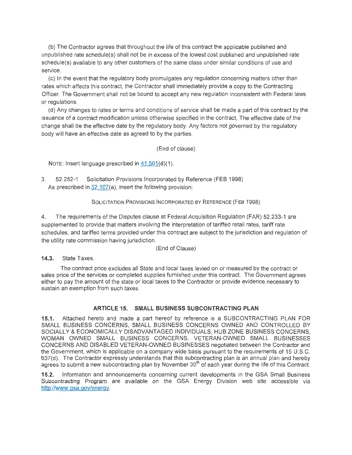(b) The Contractor agrees that throughout the life of this contract the applicable published and unpublished rate schedule(s) shall not be in excess of the lowest cost published and unpublished rate schedule(s) available to any other customers of the same class under similar conditions of use and service.

(c) In the event that the regulatory body promulgates any regulation concerning matters other than rates which affects this contract, the Contractor shall immediately provide a copy to the Contracting Officer. The Government shall not be bound to accept any new regulation inconsistent with Federal laws or regulations.

(d) Any changes to rates or terms and conditions of service shall be made a part of this contract by the issuance of a contract modification unless otherwise specified in the contract. The effective date of the change shall be the effective date by the regulatory body. Any factors not governed by the regulatory body will have an effective date as agreed to by the parties.

#### (End of clause)

NOTE: Insert language prescribed in  $41.501(d)(1)$ .

3. 52.252-1 Solicitation Provisions Incorporated by Reference (FEB 1998) As prescribed in  $52.107(a)$ , insert the following provision:

#### SOLICITATION PROVISIONS INCORPORATED BY REFERENCE (FEB 1998)

4. The requirements of the Disputes clause at Federal Acquisition Regulation (FAR) 52.233-1 are supplemented to provide that matters involving the interpretation of tariffed retail rates, tariff rate schedules, and tariffed terms provided under this contract are subject to the jurisdiction and regulation of the utility rate commission having jurisdiction.

(End of Clause)

**14.3.** State Taxes.

The contract price excludes all State and local taxes levied on or measured by the contract or sales price of the services or completed supplies furnished under this contract. The Government agrees either to pay the amount of the state or local taxes to the Contractor or provide evidence necessary to sustain an exemption from such taxes.

#### **ARTICLE 15. SMALL BUSINESS SUBCONTRACTING PLAN**

**15.1.** Attached hereto and made a part hereof by reference is a SUBCONTRACTING PLAN FOR SMALL BUSINESS CONCERNS, SMALL BUSINESS CONCERNS OWNED AND CONTROLLED BY SOCIALLY & ECONOMICALLY DISADVANTAGED INDIVIDUALS, HUB ZONE BUSINESS CONCERNS, WOMAN OWNED SMALL BUSINESS CONCERNS, VETERAN-OWNED SMALL BUSINESSES CONCERNS AND DISABLED VETERAN-OWNED BUSINESSES negotiated between the Contractor and the Government, which is applicable on a company wide basis pursuant to the requirements of 15 U.S.C. 637(d). The Contractor expressly understands that this subcontracting plan is an annual plan and hereby agrees to submit a new subcontracting plan by November 30<sup>th</sup> of each year during the life of this Contract.

**15.2.** Information and announcements concerning current developments in the GSA Small Business Subcontracting Program are available on the GSA Energy Division web site accessible via http://www.gsa.gov/energy.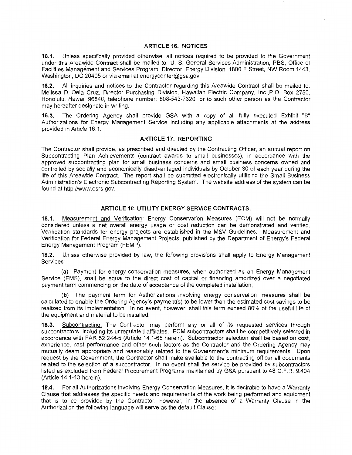#### **ARTICLE 16. NOTICES**

**16.1.** Unless specifically provided otherwise, all notices required to be provided to the Government under this Areawide Contract shall be mailed to: U. S. General Services Administration, PBS, Office of Facilities Management and Services Program; Director, Energy Division, 1800 F Street, NW Room 1443, Washington, DC 20405 or via email at energycenter@gsa.gov.

**16.2.** All inquiries and notices to the Contractor regarding this Areawide Contract shall be mailed to: Melissa D. Dela Cruz, Director Purchasing Division, Hawaiian Electric Company, lnc.,P.O. Box 2750, Honolulu, Hawaii 96840, telephone number: 808-543-7320, or to such other person as the Contractor may hereafter designate in writing.

**16.3.** The Ordering Agency shall provide GSA with a copy of all fully executed Exhibit "B" Authorizations for Energy Management Service including any applicable attachments at the address provided in Article 16.1.

#### **ARTICLE 17. REPORTING**

The Contractor shall provide, as prescribed and directed by the Contracting Officer, an annual report on Subcontracting Plan Achievements (contract awards to small businesses), in accordance with the approved subcontracting plan for small business concerns and small business concerns owned and controlled by socially and economically disadvantaged individuals by October 30 of each year during the life of this Areawide Contract. The report shall be submitted electronically utilizing the Small Business Administration's Electronic Subcontracting Reporting System. The website address of the system can be found at http://www.esrs.gov.

#### **ARTICLE 18. UTILITY ENERGY SERVICE CONTRACTS.**

**18.1.** Measurement and Verification: Energy Conservation Measures (ECM) will not be normally considered unless a net overall energy usage or cost reduction can be demonstrated and verified. Verification standards for energy projects are established in the M&V Guidelines: Measurement and Verification for Federal Energy Management Projects, published by the Department of Energy's Federal Energy Management Program (FEMP).

**18.2.** Unless otherwise provided by law, the following provisions shall apply to Energy Management Services:

**(a)** Payment for energy conservation measures, when authorized as an Energy Management Service (EMS), shall be equal to the direct cost of capital or financing amortized over a negotiated payment term commencing on the date of acceptance of the completed installation;

**(b)** The payment term for Authorizations involving energy conservation measures shall be calculated to enable the Ordering Agency's payment(s) to be lower than the estimated cost savings to be realized from its implementation. In no event, however, shall this term exceed 80% of the useful life of the equipment and material to be installed.

**18.3.** Subcontracting: The Contractor may perform any or all of its requested services through subcontractors, including its unregulated affiliates. ECM subcontractors shall be competitively selected in accordance with FAR 52.244-5 (Article 14.1-65 herein). Subcontractor selection shall be based on cost, experience, past performance and other such factors as the Contractor and the Ordering Agency may mutually deem appropriate and reasonably related to the Government's minimum requirements. Upon request by the Government, the Contractor shall make available to the contracting officer all documents related to the selection of a subcontractor. In no event shall the service be provided by subcontractors listed as excluded from Federal Procurement Programs maintained by GSA pursuant to 48 C.F.R. 9.404 (Article 14.1-13 herein).

**18.4.** For all Authorizations involving Energy Conservation Measures, it is desirable to have a Warranty Clause that addresses the specific needs and requirements of the work being performed and equipment that is to be provided by the Contractor, however, in the absence of a Warranty Clause in the Authorization the following language will serve as the default Clause: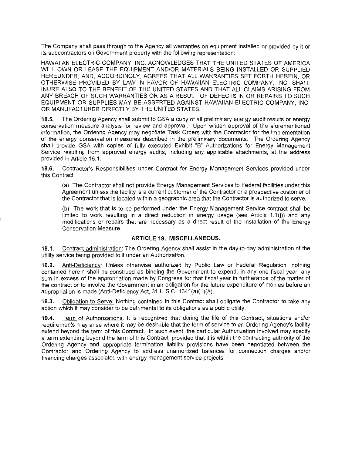The Company shall pass through to the Agency all warranties on equipment installed or provided by it or its subcontractors on Government property with the following representation:

HAWAIIAN ELECTRIC COMPANY, INC. ACNOWLEDGES THAT THE UNITED STATES OF AMERICA WILL OWN OR LEASE THE EQUIPMENT AND/OR MATERIALS BEING INSTALLED OR SUPPLIED HEREUNDER, AND, ACCORDINGLY, AGREES THAT ALL WARRANTIES SET FORTH HEREIN, OR OTHERWISE PROVIDED BY LAW IN FAVOR OF HAWAIIAN ELECTRIC COMPANY, INC. SHALL INURE ALSO TO THE BENEFIT OF THE UNITED STATES AND THAT ALL CLAIMS ARISING FROM ANY BREACH OF SUCH WARRANTIES OR AS A RESULT OF DEFECTS IN OR REPAIRS TO SUCH EQUIPMENT OR SUPPLIES MAY BE ASSERTED AGAINST HAWAIIAN ELECTRIC COMPANY, INC. OR MANUFACTURER DIRECTLY BY THE UNITED STATES.

**18.5.** The Ordering Agency shall submit to GSA a copy of all preliminary energy audit results or energy conservation measure analysis for review and approval. Upon written approval of the aforementioned information, the Ordering Agency may negotiate Task Orders with the Contractor for the implementation of the energy conservation measures described in the preliminary documents. The Ordering Agency shall provide GSA with copies of fully executed Exhibit "B" Authorizations for Energy Management Service resulting from approved energy audits, including any applicable attachments, at the address provided in Article 16.1.

**18.6.** Contractor's Responsibilities under Contract for Energy Management Services provided under this Contract:

(a) The Contractor shall not provide Energy Management Services to Federal facilities under this Agreement unless the facility is a current customer of the Contractor or a prospective customer of the Contractor that is located within a geographic area that the Contractor is authorized to serve.

(b) The work that is to be performed under the Energy Management Service contract shall be limited to work resulting in a direct reduction in energy usage (see Article 1.1(j)) and any modifications or repairs that are necessary as a direct result of the installation of the Energy Conservation Measure.

#### **ARTICLE 19. MISCELLANEOUS.**

**19.1.** Contract administration: The Ordering Agency shall assist in the day-to-day administration of the utility service being provided to it under an Authorization.

**19.2.** Anti-Deficiency: Unless otherwise authorized by Public Law or Federal Regulation, nothing contained herein shall be construed as binding the Government to expend, in any one fiscal year, any sum in excess of the appropriation made by Congress for that fiscal year in furtherance of the matter of the contract or to involve the Government in an obligation for the future expenditure of monies before an appropriation is made (Anti-Deficiency Act, 31 U.S.C. 1341(a)(1)(A).

**19.3.** Obligation to Serve: Nothing contained in this Contract shall obligate the Contractor to take any action which it may consider to be detrimental to its obligations as a public utility.

**19.4.** Term of Authorizations: It is recognized that during the life of this Contract, situations and/or requirements may arise where it may be desirable that the term of service to an Ordering Agency's facility extend beyond the term of this Contract. In such event, the particular Authorization involved may specify a term extending beyond the term of this Contract, provided that it is within the contracting authority of the Ordering Agency and appropriate termination liability provisions have been negotiated between the Contractor and Ordering Agency to address unamortized balances for connection charges and/or financing charges associated with energy management service projects.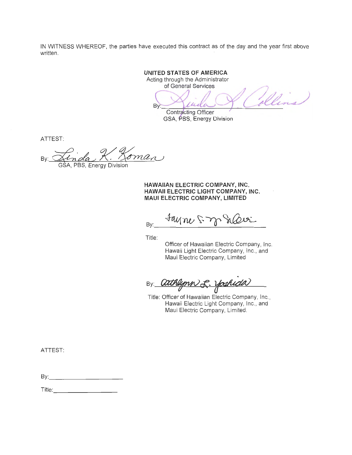IN WITNESS WHEREOF, the parties have executed this contract as of the day and the year first above written.

**UNITED STATES OF AMERICA** 

Acting through the Administrator<br>of General Services

By: Contracting Officer

GSA, PBS, Energy Division

ATTEST:

oma Bv **PBS. Energy Division** 

**HAWAIIAN ELECTRIC COMPANY, INC. HAWAII ELECTRIC LIGHT COMPANY, INC. MAUl ELECTRIC COMPANY, LIMITED** 

 $B_{\text{BV}}$  + ayme 5 m

Title:

Officer of Hawaiian Electric Company, Inc. Hawaii Light Electric Company, Inc., and Maui Electric Company, Limited

By: **athlymn & Yoshida** 

Title: Officer of Hawaiian Electric Company, Inc., Hawaii Electric Light Company, Inc., and Maui Electric Company, Limited.

ATTEST:

By:\_\_\_ \_\_\_\_ \_ \_

Title: **The Communist Street Association**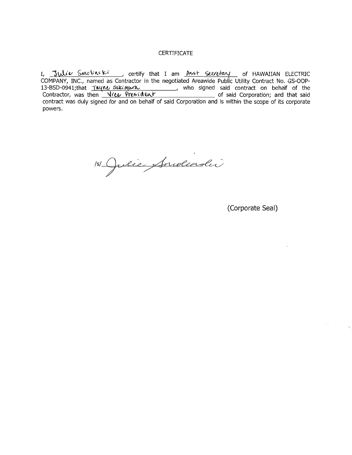#### CERTIFICATE

I, Julie Smoling Ki , certify that I am Asst Secretary of HAWAIIAN ELECTRIC COMPANY, INC., named as Contractor in the negotiated Areawide Public Utility Contract No. GS-00P-13-BSD-0941;that <u>Tuunu Sukimura \_\_\_\_\_\_\_\_\_\_</u>, who signed said contract on behalf of the Contractor, was then <u>Nicol President Content Contractor</u> of said Corporation; and that said contract was duly signed for and on behalf of said Corporation and is within the scope of its corporate powers.

151 Julie Snolensliv

(Corporate Seal)

 $\ddot{\gamma}$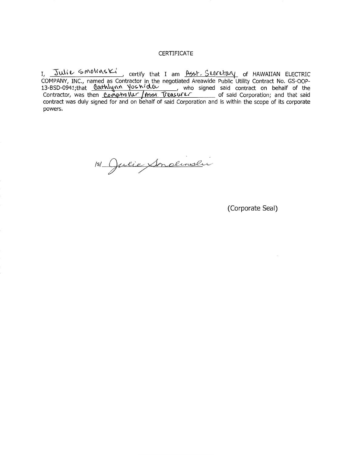#### **CERTIFICATE**

I, <u>Julie Smolinski</u>, certify that I am <u>Asst. Seereltary</u> of HAWAIIAN ELECTRIC COMPANY, INC., named as Contractor in the negotiated Areawide Public Utility Contract No. GS-00P-13-BSD-0941;that <u>Cotthlynn YoshidCutech , who signed said contract on behalf of the</u> Contractor, was then *Compholler | Asst Treasurer* \_\_\_\_\_\_\_ of said Corporation; and that said contract was duly signed for and on behalf of said Corporation and is within the scope of its corporate powers.

151 Julie Sondinsli

(Corporate Seal)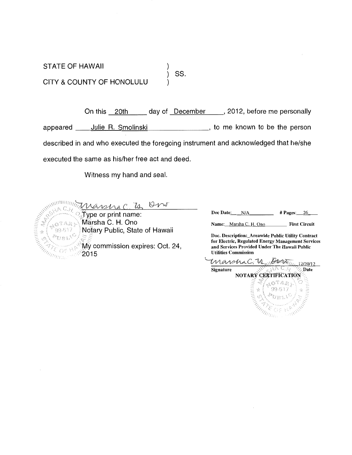STATE OF HAWAII ) ) ss. CITY & COUNTY OF HONOLULU )

On this 20th day of December , 2012, before me personally appeared ---.:J:::...:u::..:..li=-=e'-'-'R"-.-=S:..:..m:..:..o=l=in.:..;:s;,:,.:k;.:..-i\_\_\_\_\_\_\_, to me known to be the person described in and who executed the foregoing instrument and acknowledged that he/she executed the same as his/her free act and deed.

Witness my hand and seal.

 $\frac{1}{2} \sum_{n=1}^{\text{minomial distribution}} \frac{N}{N} \sum_{n=1}^{\infty} \frac{1}{N} \sum_{n=1}^{\infty} \frac{1}{N} \sum_{n=1}^{\infty} \frac{1}{N} \sum_{n=1}^{\infty} \frac{1}{N} \sum_{n=1}^{\infty} \frac{1}{N} \sum_{n=1}^{\infty} \frac{1}{N} \sum_{n=1}^{\infty} \frac{1}{N} \sum_{n=1}^{\infty} \frac{1}{N} \sum_{n=1}^{\infty} \frac{1}{N} \sum_{n=1}^{\infty} \frac{1}{N} \$ Marsha C. H. Ono Name: Marsha C. H. Ono First Circuit Notary Public, State of Hawaii **MATE OF**  $\sim$  2015

 $\begin{array}{r} \text{Type or print name:} \end{array}$  Doc Date: N/A  $\begin{array}{r} \text{H} \text{Pages:} \quad 26 \end{array}$ 

Doc. Description:\_Areawide Public Utility Contract My commission expires: Oct. 24, and Services Provided Under The Hawaii Public

 $\frac{M}{\text{Signature}}\frac{Q}{\frac{1}{N!}\sum_{i=1}^{N}|\mathcal{M}_{i}|}\frac{Q}{A}\frac{Q}{Q} \frac{Q}{Q}}\frac{12720/12}{Q}$  $Signature$ NOTARY`CERTIFICATION<br>> <><<<<<<<>>>><<<<<<<<<<<  $\lesssim$ A SIMPLE OF REAL PROPERTY.  $99 - 517$  $\rho_{U_R\setminus\Lambda^{S'}}$ **URLEY EX**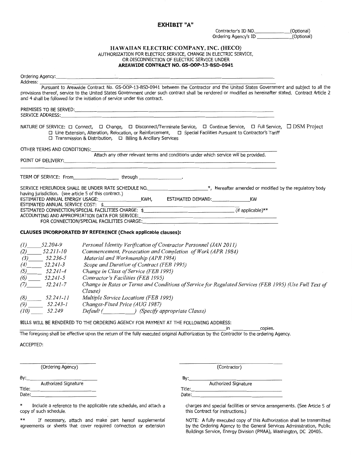#### **EXHIBIT** "A"

Contractor's ID NO.<br>
Ordering Agency's ID (Optional) Ordering Agency's ID \_

#### **HAWAIIAN ELECTRIC COMPANY, INC. (HECO)**  AUTHORIZATION FOR ELECTRIC SERVICE, CHANGE IN ELECTRIC SERVICE, OR DISCONNECTION OF ELECTRIC SERVICE UNDER **AREAWIDE CONTRACT NO. GS-OOP-13-BSD-0941**

| Address:                    |                                                                                                                                                                                                                                                                                                                                                                              |
|-----------------------------|------------------------------------------------------------------------------------------------------------------------------------------------------------------------------------------------------------------------------------------------------------------------------------------------------------------------------------------------------------------------------|
|                             | Pursuant to Areawide Contract No. GS-OOP-13-BSD-0941 between the Contractor and the United States Government and subject to all the<br>provisions thereof, service to the United States Government under such contract shall be rendered or modified as hereinafter stated. Contract Article 2<br>and 4 shall be followed for the initiation of service under this contract. |
|                             | SERVICE ADDRESS: New York Service and Service and Service and Service and Service and Service and Service and                                                                                                                                                                                                                                                                |
|                             | NATURE OF SERVICE: □ Connect, □ Change, □ Disconnect/Terminate Service, □ Continue Service, □ Full Service, □ DSM Project<br>□ Line Extension, Alteration, Relocation, or Reinforcement, □ Special Facilities Pursuant to Contractor's Tariff<br>□ Transmission & Distribution, □ Billing & Ancillary Services                                                               |
| OTHER TERMS AND CONDITIONS: |                                                                                                                                                                                                                                                                                                                                                                              |
|                             | Attach any other relevant terms and conditions under which service will be provided.<br>POINT OF DELIVERY: CONTROL CONTROL CONTROL CONTROL CONTROL CONTROL CONTROL CONTROL CONTROL CONTROL CONTROL CONTROL CONTROL CONTROL CONTROL CONTROL CONTROL CONTROL CONTROL CONTROL CONTROL CONTROL CONTROL CONTROL CONTROL CON                                                       |
|                             | TERM OF SERVICE: From_______________________through ___________________.                                                                                                                                                                                                                                                                                                     |
|                             | SERVICE HEREUNDER SHALL BE UNDER RATE SCHEDULE NO. ______________________*, Hereafter amended or modified by the regulatory body                                                                                                                                                                                                                                             |
|                             |                                                                                                                                                                                                                                                                                                                                                                              |
|                             | ESTIMATED ANNUAL SERVICE COST: \$                                                                                                                                                                                                                                                                                                                                            |
|                             |                                                                                                                                                                                                                                                                                                                                                                              |
|                             |                                                                                                                                                                                                                                                                                                                                                                              |
|                             | FOR CONNECTION/SPECIAL FACILITIES CHARGE: Network and the contract of the connection of the connection of the connection of the connection of the connection of the connection of the connection of the connection of the conn                                                                                                                                               |
|                             | CLAUSES INCORPORATED BY REFERENCE (Check applicable clauses):                                                                                                                                                                                                                                                                                                                |
| $(1)$ $52.204-9$            | Personal Identity Verification of Contractor Personnel (JAN 2011)                                                                                                                                                                                                                                                                                                            |
| $(2)$ $52.211-10$           | Commencement, Prosecution and Completion of Work (APR 1984)                                                                                                                                                                                                                                                                                                                  |
| $(3)$ 52.236-5              | Material and Workmanship (APR 1984)                                                                                                                                                                                                                                                                                                                                          |
| $52.241 - 3$<br>(4)         | Scope and Duration of Contract (FEB 1995)                                                                                                                                                                                                                                                                                                                                    |
| $52.241 - 4$<br>(5)         | Change in Class of Service (FEB 1995)                                                                                                                                                                                                                                                                                                                                        |
| $(6)$ 52.241-5              | Contractor's Facilities (FEB 1995)                                                                                                                                                                                                                                                                                                                                           |
| $(7)$ 52.241-7              | Change in Rates or Terms and Conditions of Service for Regulated Services (FEB 1995) (Use Full Text of<br>Clause)                                                                                                                                                                                                                                                            |
| $(8)$ 52.241-11             | Multiple Service Locations (FEB 1995)                                                                                                                                                                                                                                                                                                                                        |
| $(9)$ 52.243-1              | Changes-Fixed Price (AUG 1987)                                                                                                                                                                                                                                                                                                                                               |
| $(10)$ 52.249               | Default ( ) (Specify appropriate Clause)                                                                                                                                                                                                                                                                                                                                     |
|                             | BILLS WILL BE RENDERED TO THE ORDERING AGENCY FOR PAYMENT AT THE FOLLOWING ADDRESS:<br>in copies.                                                                                                                                                                                                                                                                            |
|                             | The foregoing shall be effective upon the return of the fully executed original Authorization by the Contractor to the ordering Agency.                                                                                                                                                                                                                                      |
| ACCEPTED:                   |                                                                                                                                                                                                                                                                                                                                                                              |
|                             |                                                                                                                                                                                                                                                                                                                                                                              |

|        | Authorized Signature |
|--------|----------------------|
| Title: |                      |
| Date:  |                      |

\*\* If necessary, attach and make part hereof supplemental NOTE: A fully executed copy of this Authorization shall be transmitted agreements or sheets that cover required connection or extension

(Ordering Agency) (Contractor) By:\_\_\_\_\_\_\_\_\_\_ By:\_\_\_\_\_\_\_\_\_\_\_\_\_\_ Authorized Signature<br>Title: Title:\_\_\_\_\_\_\_\_\_\_ Title:\_\_\_\_\_\_\_\_\_\_\_\_\_\_\_ Date:\_\_\_\_\_\_\_\_\_\_ Date:\_\_\_\_\_\_\_\_\_\_\_\_\_\_\_

\* Include a reference to the applicable rate schedule, and attach a charges and special facilities or service arrangements. (See Article 5 of copy of such schedule. this Contract for instructions.)

Buildings Service, Energy Division (PMAA), Washington, DC 20405.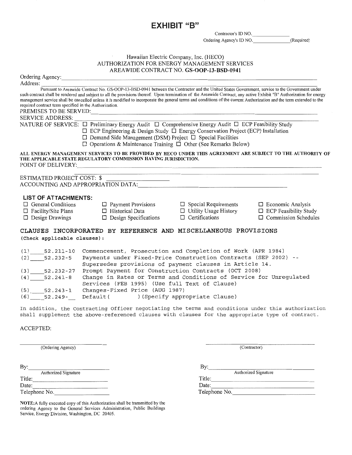### EXHIBIT "8"

Contractor's ID NO.\_\_\_\_\_\_

Ordering Agency's ID NO. (Required)

### Hawaiian Electric Company, Inc. (HECO) AUTHORIZATION FOR ENERGY MANAGEMENT SERVICES

|                                                        |                                                                                                                                                                                                                                                                                                                                                                                                                                                                                                 | AREAWIDE CONTRACT NO. GS-OOP-13-BSD-0941 |                              |  |
|--------------------------------------------------------|-------------------------------------------------------------------------------------------------------------------------------------------------------------------------------------------------------------------------------------------------------------------------------------------------------------------------------------------------------------------------------------------------------------------------------------------------------------------------------------------------|------------------------------------------|------------------------------|--|
|                                                        |                                                                                                                                                                                                                                                                                                                                                                                                                                                                                                 |                                          |                              |  |
| Address:                                               |                                                                                                                                                                                                                                                                                                                                                                                                                                                                                                 |                                          |                              |  |
| required contract term specified in the Authorization. | Pursuant to Areawide Contract No. GS-OOP-13-BSD-0941 between the Contractor and the United States Government, service to the Government under<br>such contract shall be rendered and subject to all the provisions thereof. Upon termination of the Areawide Contract, any active Exhibit "B" Authorization for energy<br>management service shall be cancelled unless it is modified to incorporate the general terms and conditions of the current Authorization and the term extended to the |                                          |                              |  |
|                                                        |                                                                                                                                                                                                                                                                                                                                                                                                                                                                                                 |                                          |                              |  |
| <b>SERVICE ADDRESS:</b>                                |                                                                                                                                                                                                                                                                                                                                                                                                                                                                                                 |                                          |                              |  |
|                                                        | NATURE OF SERVICE: □ Preliminary Energy Audit □ Comprehensive Energy Audit □ ECP Feasibility Study<br>$\Box$ ECP Engineering & Design Study $\Box$ Energy Conservation Project (ECP) Installation<br>$\Box$ Demand Side Management (DSM) Project $\Box$ Special Facilities<br>$\Box$ Operations & Maintenance Training $\Box$ Other (See Remarks Below)                                                                                                                                         |                                          |                              |  |
| POINT OF DELIVERY:                                     | ALL ENERGY MANAGEMENT SERVICES TO BE PROVIDED BY HECO UNDER THIS AGREEMENT ARE SUBJECT TO THE AUTHORITY OF<br>THE APPLICABLE STATE REGULATORY COMMISSION HAVING JURISDICTION.<br>the contract of the contract of the contract of the contract of the contract of the contract of the contract of                                                                                                                                                                                                |                                          |                              |  |
| ESTIMATED PROJECT COST: \$                             | ACCOUNTING AND APPROPRIATION DATA: Production of the state of the state of the state of the state of the state of the state of the state of the state of the state of the state of the state of the state of the state of the                                                                                                                                                                                                                                                                   |                                          |                              |  |
| <b>LIST OF ATTACHMENTS:</b>                            |                                                                                                                                                                                                                                                                                                                                                                                                                                                                                                 |                                          |                              |  |
| $\Box$ General Conditions                              | $\Box$ Payment Provisions                                                                                                                                                                                                                                                                                                                                                                                                                                                                       | $\Box$ Special Requirements              | $\Box$ Economic Analysis     |  |
| $\Box$ Facility/Site Plans                             | $\Box$ Historical Data                                                                                                                                                                                                                                                                                                                                                                                                                                                                          | $\Box$ Utility Usage History             | $\Box$ ECP Feasibility Study |  |
| $\Box$ Design Drawings                                 | $\Box$ Design Specifications                                                                                                                                                                                                                                                                                                                                                                                                                                                                    | $\Box$ Certifications                    | $\Box$ Commission Schedules  |  |
| (Check applicable clauses) :                           | CLAUSES INCORPORATED BY REFERENCE AND MISCELLANEOUS PROVISIONS                                                                                                                                                                                                                                                                                                                                                                                                                                  |                                          |                              |  |
| (1)<br>52.211-10                                       | Commencement, Prosecution and Completion of Work (APR 1984)                                                                                                                                                                                                                                                                                                                                                                                                                                     |                                          |                              |  |
| (2)<br>$52.232 - 5$                                    | Payments under Fixed-Price Construction Contracts (SEP 2002) --<br>Supersedes provisions of payment clauses in Article 14.                                                                                                                                                                                                                                                                                                                                                                      |                                          |                              |  |
| $(3)$ $52.232-27$                                      | Prompt Payment for Construction Contracts (OCT 2008)                                                                                                                                                                                                                                                                                                                                                                                                                                            |                                          |                              |  |
| $(4)$ 52.241-8                                         | Change in Rates or Terms and Conditions of Service for Unregulated<br>Services (FEB 1995) (Use full Text of Clause)                                                                                                                                                                                                                                                                                                                                                                             |                                          |                              |  |
| (5)<br>$52.243 - 1$                                    | Changes-Fixed Price (AUG 1987)                                                                                                                                                                                                                                                                                                                                                                                                                                                                  |                                          |                              |  |
| $52.249 -$<br>(6)                                      | Default (                                                                                                                                                                                                                                                                                                                                                                                                                                                                                       | ) (Specify appropriate Clause)           |                              |  |

In addition, the Contracting Officer negotiating the terms and conditions under this authorization shall supplement the above-referenced clauses with clauses for the appropriate type of contract.

#### ACCEPTED:

Authorized Signature

By: Authorized Signature Authorized Signature Authorized Signature Authorized Signature Authorized Signature Authorized Signature Authorized Signature Authorized Signature Authorized Signature Authorized Signature Authorized Signature Authorized Signature Authorized Signature Authorized S Date:-=----::-::--------- Date:\_\_\_\_\_\_\_\_\_\_\_\_\_\_\_\_ Date: Date: Date: Date: Date: Date: Date: Date: Date: Date: Date: Date: Telephone No.

NOTE:A fully executed copy of this Authorization shall be transmitted by the ordering Agency to the General Services Administration, Public Buildings Service, Energy Division, Washington, DC 20405.

(Ordering Agency) (Contractor)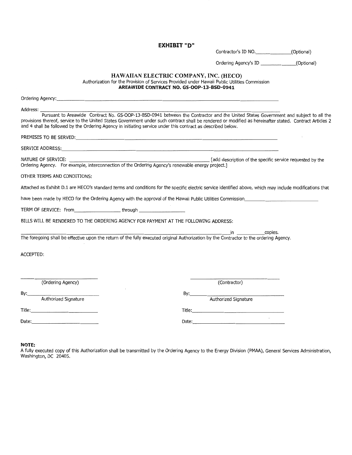EXHIBIT "D"

Contractor's ID NO.\_\_\_\_\_\_(Optional)

Ordering Agency's ID \_\_\_\_\_\_(Optional)

#### HAWAIIAN ELECTRIC COMPANY, INC. (HECO) Authorization for the Provision of Services Provided under Hawaii Public Utilities Commission **AREAWIDE CONTRACT NO. GS-OOP-13-BSD-0941**

| Ordering Agency: the contract of the contract of the contract of the contract of the contract of the contract of the contract of the contract of the contract of the contract of the contract of the contract of the contract                                                                                                                                                                                               |
|-----------------------------------------------------------------------------------------------------------------------------------------------------------------------------------------------------------------------------------------------------------------------------------------------------------------------------------------------------------------------------------------------------------------------------|
| Address:<br>Pursuant to Areawide Contract No. GS-OOP-13-BSD-0941 between the Contractor and the United States Government and subject to all the<br>provisions thereof, service to the United States Government under such contract shall be rendered or modified as hereinafter stated. Contract Articles 2<br>and 4 shall be followed by the Ordering Agency in initiating service under this contract as described below. |
|                                                                                                                                                                                                                                                                                                                                                                                                                             |
|                                                                                                                                                                                                                                                                                                                                                                                                                             |
|                                                                                                                                                                                                                                                                                                                                                                                                                             |
| OTHER TERMS AND CONDITIONS:                                                                                                                                                                                                                                                                                                                                                                                                 |
| Attached as Exhibit D.1 are HECO's standard terms and conditions for the specific electric service identified above, which may include modifications that                                                                                                                                                                                                                                                                   |
| have been made by HECO for the Ordering Agency with the approval of the Hawaii Public Utilities Commission                                                                                                                                                                                                                                                                                                                  |
| TERM OF SERVICE: From__________________________through _________________________                                                                                                                                                                                                                                                                                                                                            |
| BILLS WILL BE RENDERED TO THE ORDERING AGENCY FOR PAYMENT AT THE FOLLOWING ADDRESS:                                                                                                                                                                                                                                                                                                                                         |
| in copies.<br>The foregoing shall be effective upon the return of the fully executed original Authorization by the Contractor to the ordering Agency.                                                                                                                                                                                                                                                                       |
| <b>ACCEPTED:</b>                                                                                                                                                                                                                                                                                                                                                                                                            |
| (Ordering Agency)<br>(Contractor)                                                                                                                                                                                                                                                                                                                                                                                           |
| By:____<br>Authorized Signature<br>Authorized Signature                                                                                                                                                                                                                                                                                                                                                                     |
|                                                                                                                                                                                                                                                                                                                                                                                                                             |
|                                                                                                                                                                                                                                                                                                                                                                                                                             |

#### **NOTE:**

A fully executed copy of this Authorization shall be transmitted by the Ordering Agency to the Energy Division (PMAA), General Services Administration, Washington, DC 20405.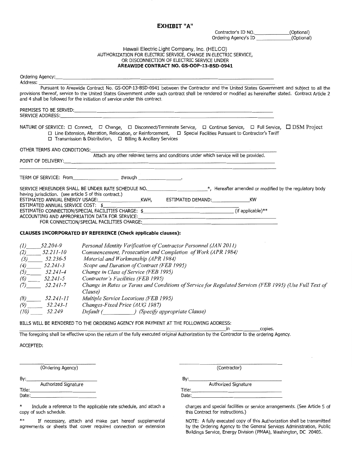#### EXHIBIT "A"

Contractor's ID NO.
(Optional)<br>
Ordering Agency's ID
(Optional) Ordering Agency's ID

#### Hawaii Electric Light Company, Inc. (HELCO) AUTHORIZATION FOR ELECTRIC SERVICE, CHANGE IN ELECTRIC SERVICE, OR DISCONNECTION OF ELECTRIC SERVICE UNDER **AREAWIDE CONTRACT NO. GS-OOP-13-BSD-0941**

|                                                                                                                                                                                                                                                                                                                                                                                          | Ordering Agency: example and a series of the series of the series of the series of the series of the series of the series of the series of the series of the series of the series of the series of the series of the series of                                                                                                               |  |  |  |  |
|------------------------------------------------------------------------------------------------------------------------------------------------------------------------------------------------------------------------------------------------------------------------------------------------------------------------------------------------------------------------------------------|----------------------------------------------------------------------------------------------------------------------------------------------------------------------------------------------------------------------------------------------------------------------------------------------------------------------------------------------|--|--|--|--|
| Address:<br>Pursuant to Areawide Contract No. GS-OOP-13-BSD-0941 between the Contractor and the United States Government and subject to all the<br>provisions thereof, service to the United States Government under such contract shall be rendered or modified as hereinafter stated. Contract Article 2<br>and 4 shall be followed for the initiation of service under this contract. |                                                                                                                                                                                                                                                                                                                                              |  |  |  |  |
|                                                                                                                                                                                                                                                                                                                                                                                          | SERVICE ADDRESS: New York Service Service Service Service Service Service Service Service Service Service Service Service Service Service Service Service Service Service Service Service Service Service Service Service Serv                                                                                                               |  |  |  |  |
|                                                                                                                                                                                                                                                                                                                                                                                          | NATURE OF SERVICE: $\Box$ Connect, $\Box$ Change, $\Box$ Disconnect/Terminate Service, $\Box$ Continue Service, $\Box$ Full Service, $\Box$ DSM Project<br>□ Line Extension, Alteration, Relocation, or Reinforcement, □ Special Facilities Pursuant to Contractor's Tariff<br>□ Transmission & Distribution, □ Billing & Ancillary Services |  |  |  |  |
| OTHER TERMS AND CONDITIONS:                                                                                                                                                                                                                                                                                                                                                              |                                                                                                                                                                                                                                                                                                                                              |  |  |  |  |
|                                                                                                                                                                                                                                                                                                                                                                                          | Attach any other relevant terms and conditions under which service will be provided.<br>POINT OF DELIVERY: University of the Contract of the Contract of the Contract of the Contract of the Contract of the Contract of the Contract of the Contract of the Contract of the Contract of the Contract of the Contract                        |  |  |  |  |
|                                                                                                                                                                                                                                                                                                                                                                                          | TERM OF SERVICE: From through through the service of the service of the service of the service of the service of the service of the service of the service of the service of the service of the service of the service of the                                                                                                                |  |  |  |  |
|                                                                                                                                                                                                                                                                                                                                                                                          | SERVICE HEREUNDER SHALL BE UNDER RATE SCHEDULE NO. _________________________*, Hereafter amended or modified by the regulatory body                                                                                                                                                                                                          |  |  |  |  |
|                                                                                                                                                                                                                                                                                                                                                                                          |                                                                                                                                                                                                                                                                                                                                              |  |  |  |  |
| ESTIMATED ANNUAL SERVICE COST: \$                                                                                                                                                                                                                                                                                                                                                        |                                                                                                                                                                                                                                                                                                                                              |  |  |  |  |
|                                                                                                                                                                                                                                                                                                                                                                                          |                                                                                                                                                                                                                                                                                                                                              |  |  |  |  |
|                                                                                                                                                                                                                                                                                                                                                                                          |                                                                                                                                                                                                                                                                                                                                              |  |  |  |  |
|                                                                                                                                                                                                                                                                                                                                                                                          | FOR CONNECTION/SPECIAL FACILITIES CHARGE:                                                                                                                                                                                                                                                                                                    |  |  |  |  |
|                                                                                                                                                                                                                                                                                                                                                                                          | CLAUSES INCORPORATED BY REFERENCE (Check applicable clauses):                                                                                                                                                                                                                                                                                |  |  |  |  |
| $(1)$ 52.204-9                                                                                                                                                                                                                                                                                                                                                                           | Personal Identity Verification of Contractor Personnel (JAN 2011)                                                                                                                                                                                                                                                                            |  |  |  |  |
| $(2)$ 52.211-10                                                                                                                                                                                                                                                                                                                                                                          | Commencement, Prosecution and Completion of Work (APR 1984)                                                                                                                                                                                                                                                                                  |  |  |  |  |
| $(3)$ 52.236-5                                                                                                                                                                                                                                                                                                                                                                           | Material and Workmanship (APR 1984)                                                                                                                                                                                                                                                                                                          |  |  |  |  |
| $\frac{(4)}{2}$ 52.241-3                                                                                                                                                                                                                                                                                                                                                                 | Scope and Duration of Contract (FEB 1995)                                                                                                                                                                                                                                                                                                    |  |  |  |  |
| $(5)$ $52.241-4$                                                                                                                                                                                                                                                                                                                                                                         | Change in Class of Service (FEB 1995)                                                                                                                                                                                                                                                                                                        |  |  |  |  |
| $(6)$ 52.241-5                                                                                                                                                                                                                                                                                                                                                                           | Contractor's Facilities (FEB 1995)                                                                                                                                                                                                                                                                                                           |  |  |  |  |
| $(7)$ 52.241-7                                                                                                                                                                                                                                                                                                                                                                           | Change in Rates or Terms and Conditions of Service for Regulated Services (FEB 1995) (Use Full Text of<br>Clause)                                                                                                                                                                                                                            |  |  |  |  |
| $(8)$ 52.241-11                                                                                                                                                                                                                                                                                                                                                                          | Multiple Service Locations (FEB 1995)                                                                                                                                                                                                                                                                                                        |  |  |  |  |
| $(9)$ 52.243-1                                                                                                                                                                                                                                                                                                                                                                           | Changes-Fixed Price (AUG 1987)                                                                                                                                                                                                                                                                                                               |  |  |  |  |
| $(10)$ 52.249                                                                                                                                                                                                                                                                                                                                                                            | Default ( ) (Specify appropriate Clause)                                                                                                                                                                                                                                                                                                     |  |  |  |  |
|                                                                                                                                                                                                                                                                                                                                                                                          | BILLS WILL BE RENDERED TO THE ORDERING AGENCY FOR PAYMENT AT THE FOLLOWING ADDRESS:<br>in copies.                                                                                                                                                                                                                                            |  |  |  |  |
|                                                                                                                                                                                                                                                                                                                                                                                          | The foregoing shall be effective upon the return of the fully executed original Authorization by the Contractor to the ordering Agency.                                                                                                                                                                                                      |  |  |  |  |
| ACCEPTED:                                                                                                                                                                                                                                                                                                                                                                                |                                                                                                                                                                                                                                                                                                                                              |  |  |  |  |

(Ordering Agency) (Contractor)

 $By:$   $By:$   $By:$   $\overline{By:}$   $\overline{By:}$   $\overline{By:}$   $\overline{By:}$   $\overline{By:}$   $\overline{By:}$   $\overline{By:}$   $\overline{By:}$   $\overline{By:}$   $\overline{By:}$   $\overline{By:}$   $\overline{By:}$   $\overline{By:}$   $\overline{By:}$   $\overline{By:}$   $\overline{By:}$   $\overline{By:}$   $\overline{By:}$   $\overline{By:}$   $\overline{By:}$   $\overline{By$ Authorized Signature **Authorized Signature** Authorized Signature **Authorized Signature** Title:\_\_\_\_\_\_\_\_\_\_ Title:\_\_\_\_\_\_\_\_\_\_\_\_\_\_\_\_ Date:\_\_\_\_\_\_\_\_\_\_ Date:\_\_\_\_\_\_\_\_\_\_\_\_\_\_

\* Include a reference to the applicable rate schedule, and attach a charges and special facilities or service arrangements. (See Article 5 of

\*\* If necessary, attach and make part hereof supplemental NOTE: A fully executed copy of this Authorization shall be transmitted

this Contract for instructions.)

by the Ordering Agency to the General Services Administration, Public Buildings Service, Energy Division (PMAA), Washington, DC 20405.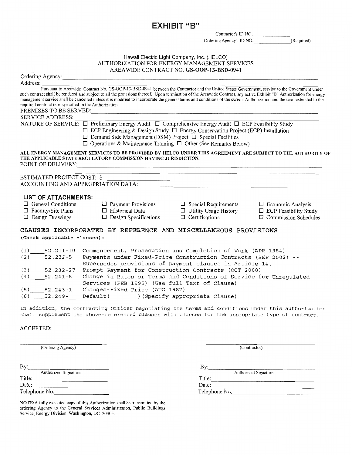EXHIBIT "B"

Contractor's ID NO.

Ordering Agency's ID NO. (Required)

### Hawaii Electric Light Company, Inc. (HELCO) AUTHORIZATION FOR ENERGY MANAGEMENT SERVICES

AREA WIDE CONTRACT NO. GS-OOP-13-BSD-0941 Ordering Agency: \_\_\_\_\_\_\_\_\_\_\_\_\_\_\_\_\_\_\_\_\_\_\_\_\_\_\_\_\_\_\_\_\_\_\_\_\_\_\_\_ Address: ~--~~--~~~~~~~~~~~~----~~------~~~~~~--------~--~~------ Pursuant to Areawide Contract No. GS-OOP-13-BSD-0941 between the Contractor and the United States Government, service to the Government under such contract shall be rendered and subject to all the provisions thereof. Upon termination of the Areawide Contract, any active Exhibit "B" Authorization for energy management service shall be cancelled unless it is modified to incorporate the general terms and conditions ofthe current Authorization and the term extended to the required contract term specified in the Authorization. PREMISES TO BE SERVED: SERVICEADDRESS:~~~~~~~--~~~~--~--~~--~~~~~--~~~~------ NA TURE OF SERVICE: 0 Preliminary Energy Audit 0 Comprehensive Energy Audit 0 ECP Feasibility Study  $\Box$  ECP Engineering & Design Study  $\Box$  Energy Conservation Project (ECP) Installation  $\Box$  Demand Side Management (DSM) Project  $\Box$  Special Facilities  $\Box$  Operations & Maintenance Training  $\Box$  Other (See Remarks Below) ALL ENERGY MANAGEMENT SERVICES TO BE PROVIDED BY HELCO UNDER THIS AGREEMENT ARE SUBJECT TO THE AUTHORITY OF THE APPLICABLE STATE REGULATORY COMMISSION HAVING JURISDICTION. POINT OF DELIVERY: ESTIMATED PROJECT COST: \$ ACCOUNTING AND APPROPRIATION DATA: **LIST OF ATTACHMENTS:**<br>□ General Conditions 0 General Conditions 0 Payment Provisions D Special Requirements D Economic Analysis □ Facility/Site Plans □ Historical Data □ Utility Usage History D Design Drawings D Design Specifications 0 Ce1tifications 0 Commission Schedules CLAUSES INCORPORATED BY REFERENCE AND MISCELLANEOUS PROVISIONS (Check applicable clauses) : (1) 52.211-10 Commencement, Prosecution and Completion of Work (APR 1984) (2) 52.232-5 Payments under Fixed-Price Construction Contracts (SEP 2002) Supersedes provisions of payment clauses in Article 14. (3) 52.232-27 Prompt Payment for Construction Contracts (OCT 2008) (4) 52.241-8 Change in Rates or Terms and Conditions of Service for Unregulated Services (FEB 1995) (Use full Text of Clause) (5) 52.243-1 Changes-Fixed Price (AUG 1987)

(6) 52.249 Default( ) (Specify appropriate Clause)

In addition, the Contracting Officer negotiating the terms and conditions under this authorization shall supplement the above-referenced clauses with clauses for the appropriate type of contract.

#### ACCEPTED:

(Ordering Agency) (Contractor)

Title:<br>Date: By: Authorized Signature Authorized Signature Authorized Signature Title: Title: Title: Title: Title: Title: Title: Date: Date: Date: Date: Date: Date: Date: Date: Date: Date: Date: Date: Date: Date: Date: Date: Date: Date: Date: Date: Date: Date: Date: Date: Date: Date: Date: Date: Date: Date: Date: D Telephone No.

NOTE:A fully executed copy of this Authorization shall be transmitted by the ordering Agency to the General Services Administration, Public Buildings Service, Energy Division, Washington, DC 20405.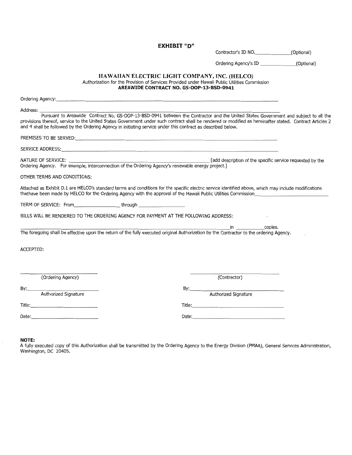EXHIBIT "D"

Contractor's ID NO.\_\_\_\_\_\_(Optional)

Ordering Agency's ID \_\_\_\_\_\_(Optional)

#### HAWAIIAN ELECTRIC LIGHT COMPANY, INC. (HELCO) Authorization for the Provision of Services Provided under Hawaii Public Utilities Commission AREAWIDE CONTRACT NO. GS-OOP-13-BSD-0941

| Ordering Agency: the contract of the contract of the contract of the contract of the contract of the contract of the contract of the contract of the contract of the contract of the contract of the contract of the contract |                                                                                                                                                                                                                                                                          |
|-------------------------------------------------------------------------------------------------------------------------------------------------------------------------------------------------------------------------------|--------------------------------------------------------------------------------------------------------------------------------------------------------------------------------------------------------------------------------------------------------------------------|
| Address: _________                                                                                                                                                                                                            | Pursuant to Areawide Contract No. GS-OOP-13-BSD-0941 between the Contractor and the United States Government and subject to all the                                                                                                                                      |
| and 4 shall be followed by the Ordering Agency in initiating service under this contract as described below.                                                                                                                  | provisions thereof, service to the United States Government under such contract shall be rendered or modified as hereinafter stated. Contract Articles 2                                                                                                                 |
|                                                                                                                                                                                                                               |                                                                                                                                                                                                                                                                          |
|                                                                                                                                                                                                                               |                                                                                                                                                                                                                                                                          |
|                                                                                                                                                                                                                               | NATURE OF SERVICE: <b>Example, interconnection of the Ordering Agency's renewable energy project.</b> ] [add description of the specific service requested by the Ordering Agency's renewable energy project.]                                                           |
| OTHER TERMS AND CONDITIONS:                                                                                                                                                                                                   |                                                                                                                                                                                                                                                                          |
|                                                                                                                                                                                                                               | Attached as Exhibit D.1 are HELCO's standard terms and conditions for the specific electric service identified above, which may include modifications<br>thathave been made by HELCO for the Ordering Agency with the approval of the Hawaii Public Utilities Commission |
| TERM OF SERVICE: From_________________________through __________________________                                                                                                                                              |                                                                                                                                                                                                                                                                          |
| BILLS WILL BE RENDERED TO THE ORDERING AGENCY FOR PAYMENT AT THE FOLLOWING ADDRESS:                                                                                                                                           |                                                                                                                                                                                                                                                                          |
|                                                                                                                                                                                                                               | <u>in copies.</u>                                                                                                                                                                                                                                                        |
|                                                                                                                                                                                                                               |                                                                                                                                                                                                                                                                          |
| ACCEPTED:                                                                                                                                                                                                                     |                                                                                                                                                                                                                                                                          |
|                                                                                                                                                                                                                               |                                                                                                                                                                                                                                                                          |
|                                                                                                                                                                                                                               |                                                                                                                                                                                                                                                                          |
| (Ordering Agency)                                                                                                                                                                                                             | (Contractor)                                                                                                                                                                                                                                                             |
| Authorized Signature<br>By:                                                                                                                                                                                                   | By: Authorized Signature                                                                                                                                                                                                                                                 |
|                                                                                                                                                                                                                               |                                                                                                                                                                                                                                                                          |
| Date: Date:                                                                                                                                                                                                                   |                                                                                                                                                                                                                                                                          |
|                                                                                                                                                                                                                               |                                                                                                                                                                                                                                                                          |

**NOTE:** 

A fully executed copy of this Authorization shall be transmitted by the Ordering Agency to the Energy Division (PMAA), General Services Administration, Washington, DC 20405.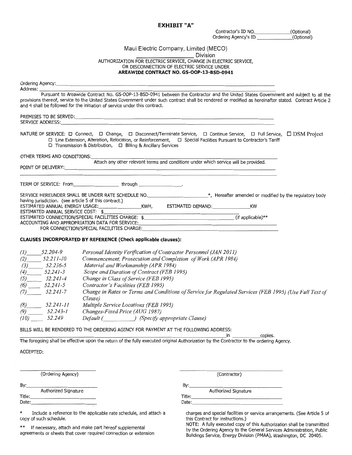#### **EXHIBIT** "A"

Contractor's ID NO.\_\_\_\_\_\_\_\_\_\_\_\_\_\_(Optional)<br>Drdering Agency's ID \_\_\_\_\_\_\_\_\_\_\_\_\_\_(Optional) Ordering Agency's ID

# Maui Electric Company, Limited (MECO)

AUTHORIZATION FOR ELECTRIC SERVICE, CHANGE IN ELECTRIC SERVICE,<br>AUTHORIZATION FOR ELECTRIC SERVICE, CHANGE IN ELECTRIC SERVICE, OR DISCONNECTION OF ELECTRIC SERVICE UNDER **AREAWIDE CONTRACT NO. GS-OOP-13-BSD-0941** 

| Address: ________                                                                                                                                                                                                                                                                                                        |                                                                                                                                                                                                                                                                                                |
|--------------------------------------------------------------------------------------------------------------------------------------------------------------------------------------------------------------------------------------------------------------------------------------------------------------------------|------------------------------------------------------------------------------------------------------------------------------------------------------------------------------------------------------------------------------------------------------------------------------------------------|
| and 4 shall be followed for the initiation of service under this contract.                                                                                                                                                                                                                                               | Pursuant to Areawide Contract No. GS-OOP-13-BSD-0941 between the Contractor and the United States Government and subject to all the<br>provisions thereof, service to the United States Government under such contract shall be rendered or modified as hereinafter stated. Contract Article 2 |
|                                                                                                                                                                                                                                                                                                                          |                                                                                                                                                                                                                                                                                                |
| NATURE OF SERVICE: □ Connect, □ Change, □ Disconnect/Terminate Service, □ Continue Service, □ Full Service, □ DSM Project<br>□ Line Extension, Alteration, Relocation, or Reinforcement, □ Special Facilities Pursuant to Contractor's Tariff<br>$\Box$ Transmission & Distribution, $\Box$ Billing & Ancillary Services |                                                                                                                                                                                                                                                                                                |
| OTHER TERMS AND CONDITIONS:                                                                                                                                                                                                                                                                                              |                                                                                                                                                                                                                                                                                                |
|                                                                                                                                                                                                                                                                                                                          | Attach any other relevant terms and conditions under which service will be provided.                                                                                                                                                                                                           |
| POINT OF DELIVERY: Network and the state of the state of the state of the state of the state of the state of the state of the state of the state of the state of the state of the state of the state of the state of the state                                                                                           |                                                                                                                                                                                                                                                                                                |
| TERM OF SERVICE: From__________________________through __________________.                                                                                                                                                                                                                                               |                                                                                                                                                                                                                                                                                                |
| SERVICE HEREUNDER SHALL BE UNDER RATE SCHEDULE NO. _______________________*, Hereafter amended or modified by the regulatory body                                                                                                                                                                                        |                                                                                                                                                                                                                                                                                                |
|                                                                                                                                                                                                                                                                                                                          |                                                                                                                                                                                                                                                                                                |
| ESTIMATED ANNUAL SERVICE COST: \$                                                                                                                                                                                                                                                                                        |                                                                                                                                                                                                                                                                                                |
| ACCOUNTING AND APPROPRIATION DATA FOR SERVICE: <b>Annual Propriet Accounting and Appropriation</b>                                                                                                                                                                                                                       |                                                                                                                                                                                                                                                                                                |
| FOR CONNECTION/SPECIAL FACILITIES CHARGE:                                                                                                                                                                                                                                                                                |                                                                                                                                                                                                                                                                                                |
| CLAUSES INCORPORATED BY REFERENCE (Check applicable clauses):                                                                                                                                                                                                                                                            |                                                                                                                                                                                                                                                                                                |
| $(1)$ 52.204-9<br>Personal Identity Verification of Contractor Personnel (JAN 2011)                                                                                                                                                                                                                                      |                                                                                                                                                                                                                                                                                                |
| $(2)$ 52.211-10<br>Commencement, Prosecution and Completion of Work (APR 1984)                                                                                                                                                                                                                                           |                                                                                                                                                                                                                                                                                                |
| $(3)$ 52.236-5<br>Material and Workmanship (APR 1984)                                                                                                                                                                                                                                                                    |                                                                                                                                                                                                                                                                                                |
| $(4)$ 52.241-3<br>Scope and Duration of Contract (FEB 1995)                                                                                                                                                                                                                                                              |                                                                                                                                                                                                                                                                                                |
| $(5)$ 52.241-4<br>Change in Class of Service (FEB 1995)                                                                                                                                                                                                                                                                  |                                                                                                                                                                                                                                                                                                |
| $(6)$ 52.241-5<br>Contractor's Facilities (FEB 1995)                                                                                                                                                                                                                                                                     |                                                                                                                                                                                                                                                                                                |
| $(7)$ 52.241-7<br>Clause)                                                                                                                                                                                                                                                                                                | Change in Rates or Terms and Conditions of Service for Regulated Services (FEB 1995) (Use Full Text of                                                                                                                                                                                         |
| Multiple Service Locations (FEB 1995)                                                                                                                                                                                                                                                                                    |                                                                                                                                                                                                                                                                                                |
| Changes-Fixed Price (AUG 1987)                                                                                                                                                                                                                                                                                           |                                                                                                                                                                                                                                                                                                |
| $\begin{array}{r} (8) \hline 89 \hline 72.241-11 \end{array}$<br>(9) 52.243-1<br>(10) 52.249<br>Default ( ) (Specify appropriate Clause)                                                                                                                                                                                 |                                                                                                                                                                                                                                                                                                |
| BILLS WILL BE RENDERED TO THE ORDERING AGENCY FOR PAYMENT AT THE FOLLOWING ADDRESS:                                                                                                                                                                                                                                      |                                                                                                                                                                                                                                                                                                |
|                                                                                                                                                                                                                                                                                                                          | in copies.                                                                                                                                                                                                                                                                                     |
| The foregoing shall be effective upon the return of the fully executed original Authorization by the Contractor to the ordering Agency.                                                                                                                                                                                  |                                                                                                                                                                                                                                                                                                |
| ACCEPTED:                                                                                                                                                                                                                                                                                                                |                                                                                                                                                                                                                                                                                                |
|                                                                                                                                                                                                                                                                                                                          |                                                                                                                                                                                                                                                                                                |
| (Ordering Agency)                                                                                                                                                                                                                                                                                                        | (Contractor)                                                                                                                                                                                                                                                                                   |
|                                                                                                                                                                                                                                                                                                                          |                                                                                                                                                                                                                                                                                                |
| Authorized Signature<br>By:                                                                                                                                                                                                                                                                                              | By: Authorized Signature                                                                                                                                                                                                                                                                       |
|                                                                                                                                                                                                                                                                                                                          |                                                                                                                                                                                                                                                                                                |
|                                                                                                                                                                                                                                                                                                                          | Date: and the contract of the contract of the contract of the contract of the contract of the contract of the contract of the contract of the contract of the contract of the contract of the contract of the contract of the                                                                  |
| $\ast$<br>Include a reference to the applicable rate schedule, and attach a<br>copy of such schedule.                                                                                                                                                                                                                    | charges and special facilities or service arrangements. (See Article 5 of<br>this Contract for instructions.)                                                                                                                                                                                  |

NOTE: A fully executed copy of this Authorization shall be transmitted \*\* If necessary, attach and make part hereof supplemental by the Ordering Agency to the General Services Administration, Public agreements or sheets that cover required connection or extension Buildings Service, Energy Division (PMAA), Washington, DC 20405.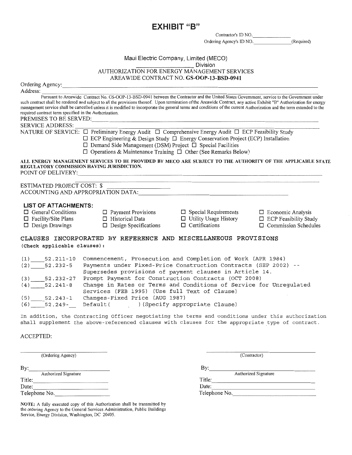EXHIBIT "B"

Contractor's ID NO.\_\_\_\_\_\_

Ordering Agency's ID NO. (Required)

# Maui Electric Company, Limited (MECO) \_\_\_\_\_\_\_\_\_ Division

AUTHORIZATION FOR ENERGY MANAGEMENT SERVICES

AREA WIDE CONTRACT NO. GS-OOP-13-BSD-0941

|                                                                                                                                                                                                                    |                                                                                                                                                                                                                                                                                                                                                                                                                                                                                                                           | AREAWIDE CONTRACT NO. GS-OOF-15-BSD-0941              |                                                                                         |  |  |
|--------------------------------------------------------------------------------------------------------------------------------------------------------------------------------------------------------------------|---------------------------------------------------------------------------------------------------------------------------------------------------------------------------------------------------------------------------------------------------------------------------------------------------------------------------------------------------------------------------------------------------------------------------------------------------------------------------------------------------------------------------|-------------------------------------------------------|-----------------------------------------------------------------------------------------|--|--|
|                                                                                                                                                                                                                    | Ordering Agency: North Contact the Contact of the Contact of the Contact of the Contact of the Contact of the Contact of the Contact of the Contact of the Contact of the Contact of the Contact of the Contact of the Contact                                                                                                                                                                                                                                                                                            |                                                       |                                                                                         |  |  |
| Address:                                                                                                                                                                                                           |                                                                                                                                                                                                                                                                                                                                                                                                                                                                                                                           |                                                       |                                                                                         |  |  |
| required contract term specified in the Authorization.                                                                                                                                                             | Pursuant to Areawide Contract No. GS-OOP-13-BSD-0941 between the Contractor and the United States Government, service to the Government under<br>such contract shall be rendered and subject to all the provisions thereof. Upon termination of the Areawide Contract, any active Exhibit "B" Authorization for energy<br>management service shall be cancelled unless it is modified to incorporate the general terms and conditions of the current Authorization and the term extended to the<br>PREMISES TO BE SERVED: |                                                       |                                                                                         |  |  |
| SERVICE ADDRESS:                                                                                                                                                                                                   |                                                                                                                                                                                                                                                                                                                                                                                                                                                                                                                           |                                                       |                                                                                         |  |  |
|                                                                                                                                                                                                                    | NATURE OF SERVICE: □ Preliminary Energy Audit □ Comprehensive Energy Audit □ ECP Feasibility Study<br>$\Box$ ECP Engineering & Design Study $\Box$ Energy Conservation Project (ECP) Installation<br>$\Box$ Demand Side Management (DSM) Project $\Box$ Special Facilities<br>$\Box$ Operations & Maintenance Training $\Box$ Other (See Remarks Below)                                                                                                                                                                   |                                                       |                                                                                         |  |  |
|                                                                                                                                                                                                                    | ALL ENERGY MANAGEMENT SERVICES TO BE PROVIDED BY MECO ARE SUBJECT TO THE AUTHORITY OF THE APPLICABLE STATE<br>REGULATORY COMMISSION HAVING JURISDICTION.<br>POINT OF DELIVERY: Network of the Contract of the Contract of the Contract of the Contract of the Contract of the Contract of the Contract of the Contract of the Contract of the Contract of the Contract of the Contract of                                                                                                                                 |                                                       |                                                                                         |  |  |
| ESTIMATED PROJECT COST: \$                                                                                                                                                                                         |                                                                                                                                                                                                                                                                                                                                                                                                                                                                                                                           |                                                       |                                                                                         |  |  |
| <b>LIST OF ATTACHMENTS:</b>                                                                                                                                                                                        |                                                                                                                                                                                                                                                                                                                                                                                                                                                                                                                           |                                                       |                                                                                         |  |  |
| $\Box$ General Conditions<br>$\Box$ Facility/Site Plans<br>$\Box$ Design Drawings                                                                                                                                  |                                                                                                                                                                                                                                                                                                                                                                                                                                                                                                                           | $\Box$ Payment Provisions $\Box$ Special Requirements | $\Box$ Economic Analysis<br>$\Box$ ECP Feasibility Study<br>$\Box$ Commission Schedules |  |  |
| (Check applicable clauses):                                                                                                                                                                                        | CLAUSES INCORPORATED BY REFERENCE AND MISCELLANEOUS PROVISIONS                                                                                                                                                                                                                                                                                                                                                                                                                                                            |                                                       |                                                                                         |  |  |
| $(1)$ 52.211-10<br>$(2)$ $52.232-5$                                                                                                                                                                                | Commencement, Prosecution and Completion of Work (APR 1984)<br>Payments under Fixed-Price Construction Contracts (SEP 2002) --<br>Supersedes provisions of payment clauses in Article 14.                                                                                                                                                                                                                                                                                                                                 |                                                       |                                                                                         |  |  |
| Prompt Payment for Construction Contracts (OCT 2008)<br>$(3)$ $52.232-27$<br>Change in Rates or Terms and Conditions of Service for Unregulated<br>$(4)$ 52.241-8<br>Services (FEB 1995) (Use full Text of Clause) |                                                                                                                                                                                                                                                                                                                                                                                                                                                                                                                           |                                                       |                                                                                         |  |  |

(5) 52.243-1 Changes-Fixed Price (AUG 1987)

(6) 52.249 Default( ) (Specify appropriate Clause)

In addition, the Contracting Officer negotiating the terms and conditions under this authorization shall supplement the above-referenced clauses with clauses for the appropriate type of contract.

#### ACCEPTED:

---------------- (Ordering Agency) (Contractor) (Contractor) By: Authorized Signature Authorized Signature Authorized Signature Authorized Signature Authorized Signature Authorized Signature<br>Title: Authorized Signature Authorized Signature  $\text{Date:}\n \begin{array}{c}\n \text{Date:}\n \end{array}\n \text{Date:}\n \begin{array}{c}\n \text{Date:}\n \end{array}$ Date: Date: Date: Date: Date: Date: Date: Date: Date: Date: Date: Telephone No.

NOTE: A fully executed copy of this Authorization shall be transmitted by the ordering Agency to the General Services Administration, Public Buildings Service, Energy Division, Washington, DC 20405.